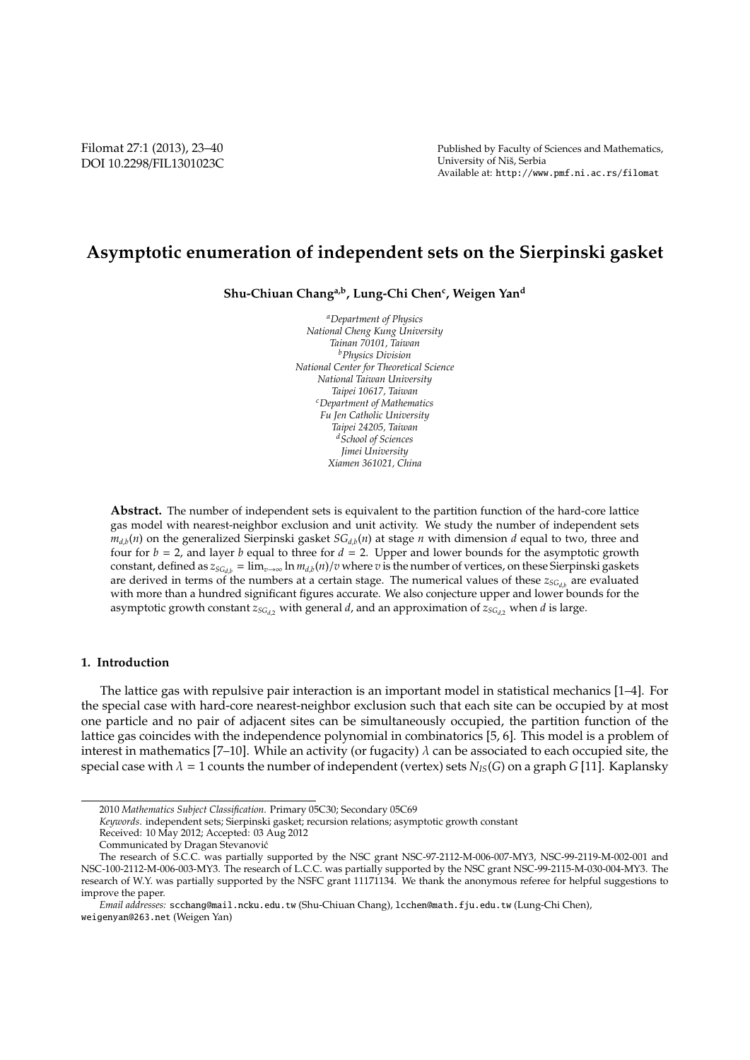# **Asymptotic enumeration of independent sets on the Sierpinski gasket**

**Shu-Chiuan Changa,b, Lung-Chi Chen<sup>c</sup> , Weigen Yan<sup>d</sup>**

*<sup>a</sup>Department of Physics National Cheng Kung University Tainan 70101, Taiwan <sup>b</sup>Physics Division National Center for Theoretical Science National Taiwan University Taipei 10617, Taiwan <sup>c</sup>Department of Mathematics Fu Jen Catholic University Taipei 24205, Taiwan <sup>d</sup>School of Sciences Jimei University Xiamen 361021, China*

**Abstract.** The number of independent sets is equivalent to the partition function of the hard-core lattice gas model with nearest-neighbor exclusion and unit activity. We study the number of independent sets  $m_{d,b}(n)$  on the generalized Sierpinski gasket  $SG_{d,b}(n)$  at stage *n* with dimension *d* equal to two, three and four for  $b = 2$ , and layer  $b$  equal to three for  $d = 2$ . Upper and lower bounds for the asymptotic growth constant, defined as  $z_{SG_{db}} = \lim_{v \to \infty} \ln m_{db}(n)/v$  where *v* is the number of vertices, on these Sierpinski gaskets are derived in terms of the numbers at a certain stage. The numerical values of these *zSGd*,*<sup>b</sup>* are evaluated with more than a hundred significant figures accurate. We also conjecture upper and lower bounds for the asymptotic growth constant  $z_{SG_{d2}}$  with general *d*, and an approximation of  $z_{SG_{d2}}$  when *d* is large.

#### **1. Introduction**

The lattice gas with repulsive pair interaction is an important model in statistical mechanics [1–4]. For the special case with hard-core nearest-neighbor exclusion such that each site can be occupied by at most one particle and no pair of adjacent sites can be simultaneously occupied, the partition function of the lattice gas coincides with the independence polynomial in combinatorics [5, 6]. This model is a problem of interest in mathematics [7–10]. While an activity (or fugacity)  $\lambda$  can be associated to each occupied site, the special case with  $\lambda = 1$  counts the number of independent (vertex) sets  $N_{IS}(G)$  on a graph *G* [11]. Kaplansky

<sup>2010</sup> *Mathematics Subject Classification*. Primary 05C30; Secondary 05C69

*Keywords*. independent sets; Sierpinski gasket; recursion relations; asymptotic growth constant

Received: 10 May 2012; Accepted: 03 Aug 2012

Communicated by Dragan Stevanovic´

The research of S.C.C. was partially supported by the NSC grant NSC-97-2112-M-006-007-MY3, NSC-99-2119-M-002-001 and NSC-100-2112-M-006-003-MY3. The research of L.C.C. was partially supported by the NSC grant NSC-99-2115-M-030-004-MY3. The research of W.Y. was partially supported by the NSFC grant 11171134. We thank the anonymous referee for helpful suggestions to improve the paper.

*Email addresses:* scchang@mail.ncku.edu.tw (Shu-Chiuan Chang), lcchen@math.fju.edu.tw (Lung-Chi Chen), weigenyan@263.net (Weigen Yan)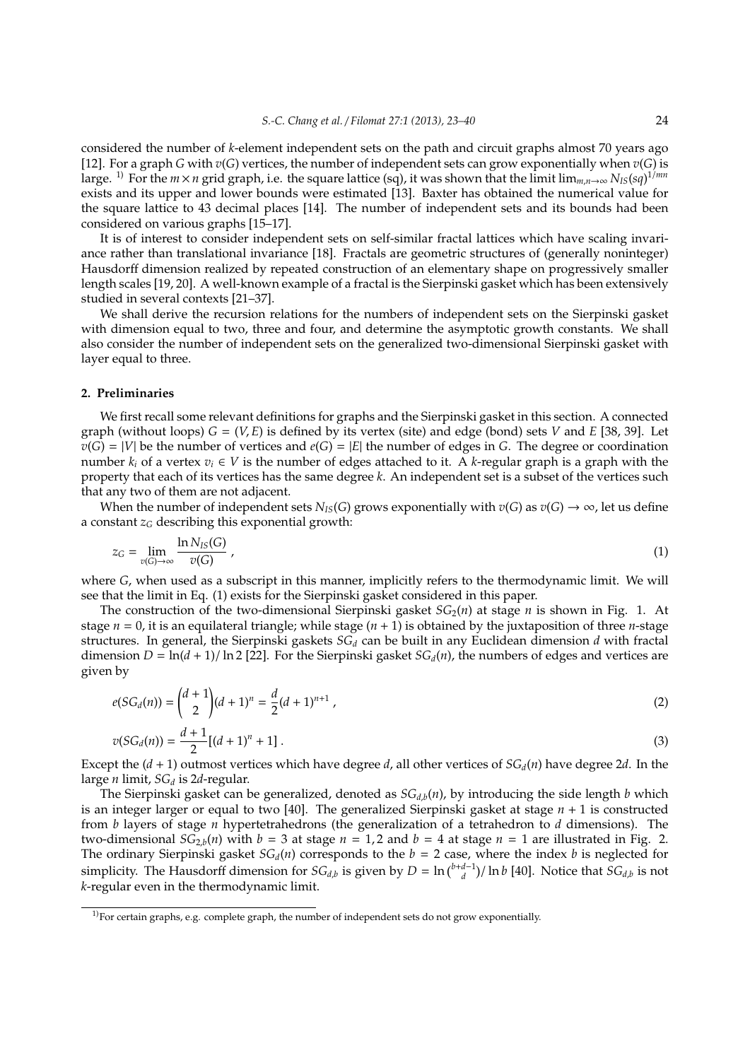considered the number of *k*-element independent sets on the path and circuit graphs almost 70 years ago [12]. For a graph *G* with *v*(*G*) vertices, the number of independent sets can grow exponentially when *v*(*G*) is large. 1) For the *m*×*n* grid graph, i.e. the square lattice (sq), it was shown that the limit lim*m*,*n*→∞ *NIS*(*sq*) 1/*mn* exists and its upper and lower bounds were estimated [13]. Baxter has obtained the numerical value for the square lattice to 43 decimal places [14]. The number of independent sets and its bounds had been considered on various graphs [15–17].

It is of interest to consider independent sets on self-similar fractal lattices which have scaling invariance rather than translational invariance [18]. Fractals are geometric structures of (generally noninteger) Hausdorff dimension realized by repeated construction of an elementary shape on progressively smaller length scales [19, 20]. A well-known example of a fractal is the Sierpinski gasket which has been extensively studied in several contexts [21–37].

We shall derive the recursion relations for the numbers of independent sets on the Sierpinski gasket with dimension equal to two, three and four, and determine the asymptotic growth constants. We shall also consider the number of independent sets on the generalized two-dimensional Sierpinski gasket with layer equal to three.

# **2. Preliminaries**

We first recall some relevant definitions for graphs and the Sierpinski gasket in this section. A connected graph (without loops) *G* = (*V*, *E*) is defined by its vertex (site) and edge (bond) sets *V* and *E* [38, 39]. Let  $v(G) = |V|$  be the number of vertices and  $e(G) = |E|$  the number of edges in *G*. The degree or coordination number  $k_i$  of a vertex  $v_i \in V$  is the number of edges attached to it. A *k*-regular graph is a graph with the property that each of its vertices has the same degree *k*. An independent set is a subset of the vertices such that any two of them are not adjacent.

When the number of independent sets  $N_{IS}(G)$  grows exponentially with  $v(G)$  as  $v(G) \rightarrow \infty$ , let us define a constant  $z_G$  describing this exponential growth:

$$
z_G = \lim_{v(G) \to \infty} \frac{\ln N_{IS}(G)}{v(G)} \,, \tag{1}
$$

where *G*, when used as a subscript in this manner, implicitly refers to the thermodynamic limit. We will see that the limit in Eq. (1) exists for the Sierpinski gasket considered in this paper.

The construction of the two-dimensional Sierpinski gasket  $SG<sub>2</sub>(n)$  at stage *n* is shown in Fig. 1. At stage  $n = 0$ , it is an equilateral triangle; while stage  $(n + 1)$  is obtained by the juxtaposition of three *n*-stage structures. In general, the Sierpinski gaskets *SG<sup>d</sup>* can be built in any Euclidean dimension *d* with fractal dimension  $D = \ln(d + 1)/\ln 2$  [22]. For the Sierpinski gasket  $SG<sub>d</sub>(n)$ , the numbers of edges and vertices are given by

$$
e(SG_d(n)) = {d+1 \choose 2} (d+1)^n = \frac{d}{2} (d+1)^{n+1},
$$
\n(2)

$$
v(SG_d(n)) = \frac{d+1}{2} [(d+1)^n + 1].
$$
\n(3)

Except the  $(d + 1)$  outmost vertices which have degree *d*, all other vertices of  $SG_d(n)$  have degree 2*d*. In the large *n* limit, *SG<sup>d</sup>* is 2*d*-regular.

The Sierpinski gasket can be generalized, denoted as  $SG_{d,b}(n)$ , by introducing the side length *b* which is an integer larger or equal to two [40]. The generalized Sierpinski gasket at stage *n* + 1 is constructed from *b* layers of stage *n* hypertetrahedrons (the generalization of a tetrahedron to *d* dimensions). The two-dimensional  $SG_{2,b}(n)$  with  $b = 3$  at stage  $n = 1, 2$  and  $b = 4$  at stage  $n = 1$  are illustrated in Fig. 2. The ordinary Sierpinski gasket  $SG_d(n)$  corresponds to the  $b = 2$  case, where the index  $b$  is neglected for simplicity. The Hausdorff dimension for  $SG_{d,b}$  is given by  $D = \ln(\frac{b+d-1}{d})/\ln b$  [40]. Notice that  $SG_{d,b}$  is not *k*-regular even in the thermodynamic limit.

<sup>&</sup>lt;sup>1)</sup>For certain graphs, e.g. complete graph, the number of independent sets do not grow exponentially.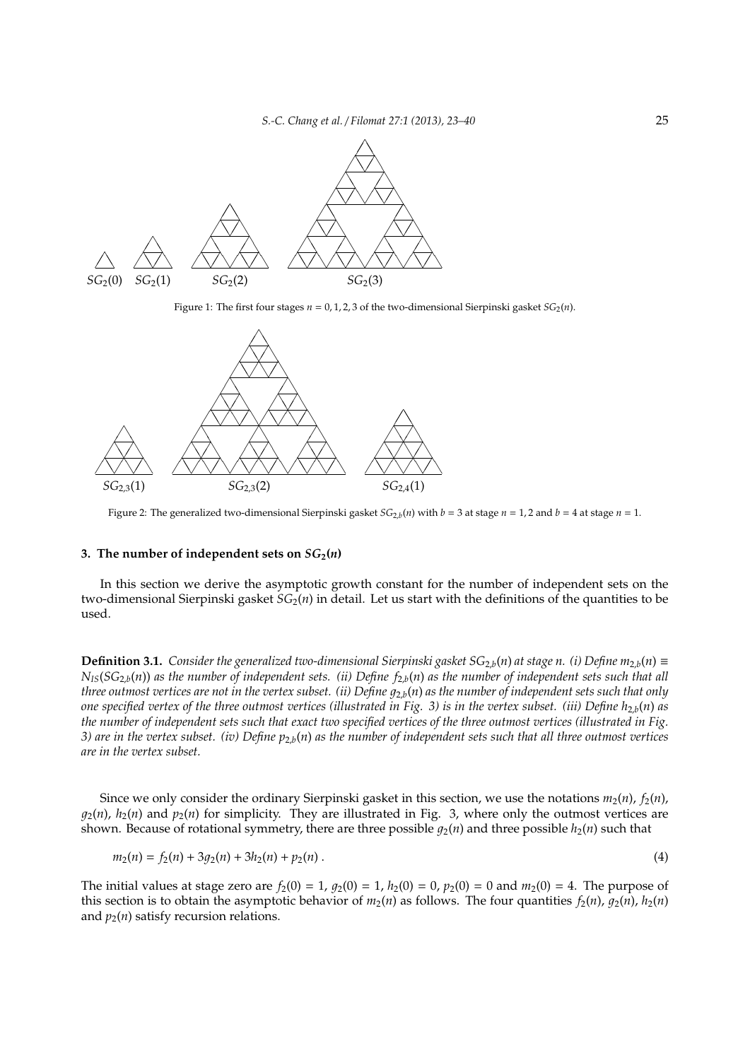

Figure 1: The first four stages  $n = 0, 1, 2, 3$  of the two-dimensional Sierpinski gasket  $SG_2(n)$ .



Figure 2: The generalized two-dimensional Sierpinski gasket *SG*2,*<sup>b</sup>* (*n*) with *b* = 3 at stage *n* = 1, 2 and *b* = 4 at stage *n* = 1.

#### **3.** The number of independent sets on  $SG_2(n)$

In this section we derive the asymptotic growth constant for the number of independent sets on the two-dimensional Sierpinski gasket *SG*2(*n*) in detail. Let us start with the definitions of the quantities to be used.

**Definition 3.1.** *Consider the generalized two-dimensional Sierpinski gasket*  $SG_{2,b}(n)$  *at stage n. (i) Define*  $m_{2,b}(n)$  *≡*  $N_{IS}(SG_{2,b}(n))$  *as the number of independent sets. (ii) Define*  $f_{2,b}(n)$  *<i>as the number of independent sets such that all three outmost vertices are not in the vertex subset. (ii) Define*  $g_{2,b}(n)$  *as the number of independent sets such that only one specified vertex of the three outmost vertices (illustrated in Fig. 3) is in the vertex subset. (iii) Define*  $h_{2,b}(n)$  *as the number of independent sets such that exact two specified vertices of the three outmost vertices (illustrated in Fig. 3) are in the vertex subset. (iv) Define p*2,*b*(*n*) *as the number of independent sets such that all three outmost vertices are in the vertex subset.*

Since we only consider the ordinary Sierpinski gasket in this section, we use the notations  $m_2(n)$ ,  $f_2(n)$ ,  $q_2(n)$ ,  $h_2(n)$  and  $p_2(n)$  for simplicity. They are illustrated in Fig. 3, where only the outmost vertices are shown. Because of rotational symmetry, there are three possible  $q_2(n)$  and three possible  $h_2(n)$  such that

$$
m_2(n) = f_2(n) + 3g_2(n) + 3h_2(n) + p_2(n).
$$
\n(4)

The initial values at stage zero are  $f_2(0) = 1$ ,  $g_2(0) = 1$ ,  $h_2(0) = 0$ ,  $p_2(0) = 0$  and  $m_2(0) = 4$ . The purpose of this section is to obtain the asymptotic behavior of  $m_2(n)$  as follows. The four quantities  $f_2(n)$ ,  $g_2(n)$ ,  $h_2(n)$ and  $p_2(n)$  satisfy recursion relations.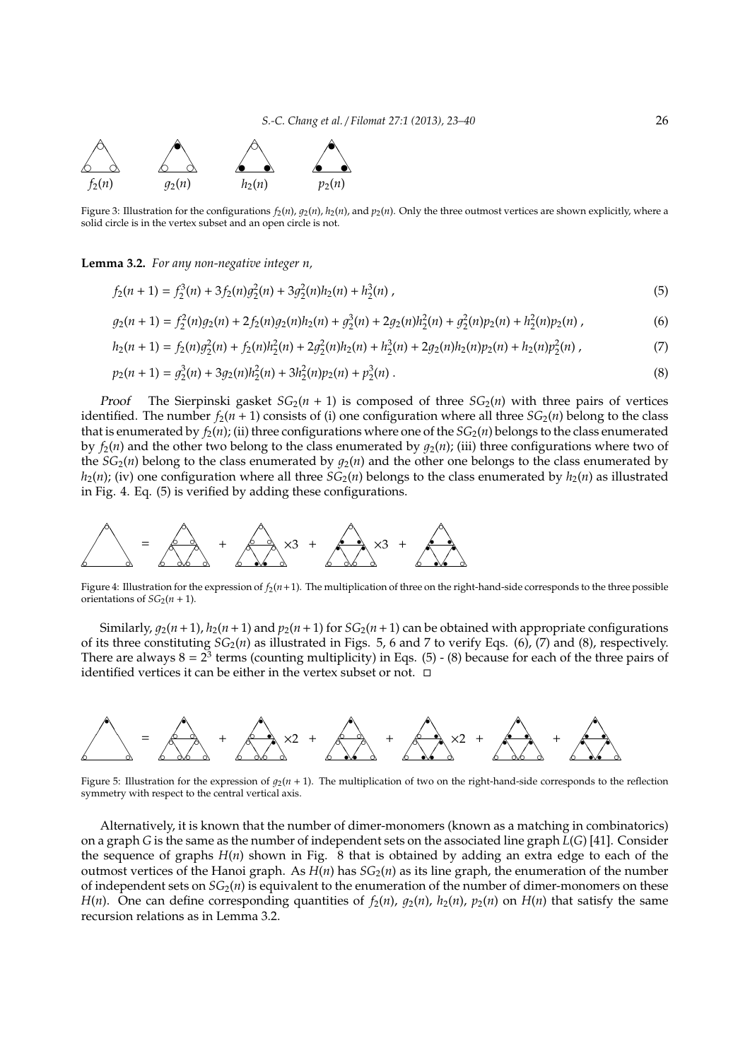

Figure 3: Illustration for the configurations  $f_2(n)$ ,  $g_2(n)$ ,  $h_2(n)$ , and  $p_2(n)$ . Only the three outmost vertices are shown explicitly, where a solid circle is in the vertex subset and an open circle is not.

**Lemma 3.2.** *For any non-negative integer n,*

$$
f_2(n+1) = f_2^3(n) + 3f_2(n)g_2^2(n) + 3g_2^2(n)h_2(n) + h_2^3(n),
$$
\n(5)

$$
g_2(n+1) = f_2^2(n)g_2(n) + 2f_2(n)g_2(n)h_2(n) + g_2^3(n) + 2g_2(n)h_2^2(n) + g_2^2(n)p_2(n) + h_2^2(n)p_2(n) \,,\tag{6}
$$

$$
h_2(n+1) = f_2(n)g_2^2(n) + f_2(n)h_2^2(n) + 2g_2^2(n)h_2(n) + h_2^3(n) + 2g_2(n)h_2(n)p_2(n) + h_2(n)p_2^2(n),
$$
\n(7)

$$
p_2(n+1) = g_2^3(n) + 3g_2(n)h_2^2(n) + 3h_2^2(n)p_2(n) + p_2^3(n).
$$
\n(8)

*Proof* The Sierpinski gasket  $SG_2(n + 1)$  is composed of three  $SG_2(n)$  with three pairs of vertices identified. The number  $f_2(n + 1)$  consists of (i) one configuration where all three  $SG_2(n)$  belong to the class that is enumerated by  $f_2(n)$ ; (ii) three configurations where one of the  $SG_2(n)$  belongs to the class enumerated by  $f_2(n)$  and the other two belong to the class enumerated by  $q_2(n)$ ; (iii) three configurations where two of the  $SG<sub>2</sub>(n)$  belong to the class enumerated by  $q<sub>2</sub>(n)$  and the other one belongs to the class enumerated by  $h_2(n)$ ; (iv) one configuration where all three *SG*<sub>2</sub>(*n*) belongs to the class enumerated by  $h_2(n)$  as illustrated in Fig. 4. Eq. (5) is verified by adding these configurations.



Figure 4: Illustration for the expression of  $f_2(n+1)$ . The multiplication of three on the right-hand-side corresponds to the three possible orientations of  $SG_2(n + 1)$ .

Similarly,  $q_2(n+1)$ ,  $h_2(n+1)$  and  $p_2(n+1)$  for  $SG_2(n+1)$  can be obtained with appropriate configurations of its three constituting *SG*2(*n*) as illustrated in Figs. 5, 6 and 7 to verify Eqs. (6), (7) and (8), respectively. There are always  $8 = 2^3$  terms (counting multiplicity) in Eqs. (5) - (8) because for each of the three pairs of identified vertices it can be either in the vertex subset or not.  $\Box$ 



Figure 5: Illustration for the expression of  $q_2(n + 1)$ . The multiplication of two on the right-hand-side corresponds to the reflection symmetry with respect to the central vertical axis.

Alternatively, it is known that the number of dimer-monomers (known as a matching in combinatorics) on a graph *G* is the same as the number of independent sets on the associated line graph *L*(*G*) [41]. Consider the sequence of graphs  $H(n)$  shown in Fig. 8 that is obtained by adding an extra edge to each of the outmost vertices of the Hanoi graph. As  $H(n)$  has  $SG<sub>2</sub>(n)$  as its line graph, the enumeration of the number of independent sets on  $SG<sub>2</sub>(n)$  is equivalent to the enumeration of the number of dimer-monomers on these *H*(*n*). One can define corresponding quantities of  $f_2(n)$ ,  $g_2(n)$ ,  $h_2(n)$ ,  $p_2(n)$  on  $H(n)$  that satisfy the same recursion relations as in Lemma 3.2.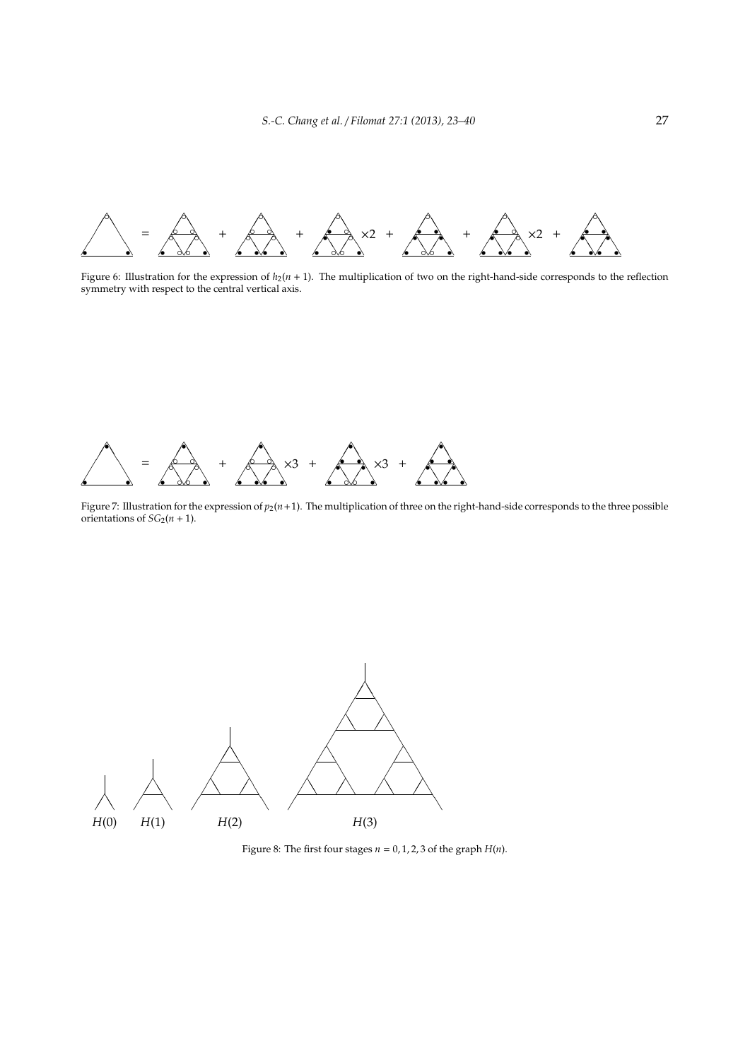

Figure 6: Illustration for the expression of  $h_2(n + 1)$ . The multiplication of two on the right-hand-side corresponds to the reflection symmetry with respect to the central vertical axis.



Figure 7: Illustration for the expression of  $p_2(n+1)$ . The multiplication of three on the right-hand-side corresponds to the three possible orientations of  $SG_2(n + 1)$ .



Figure 8: The first four stages  $n = 0, 1, 2, 3$  of the graph  $H(n)$ .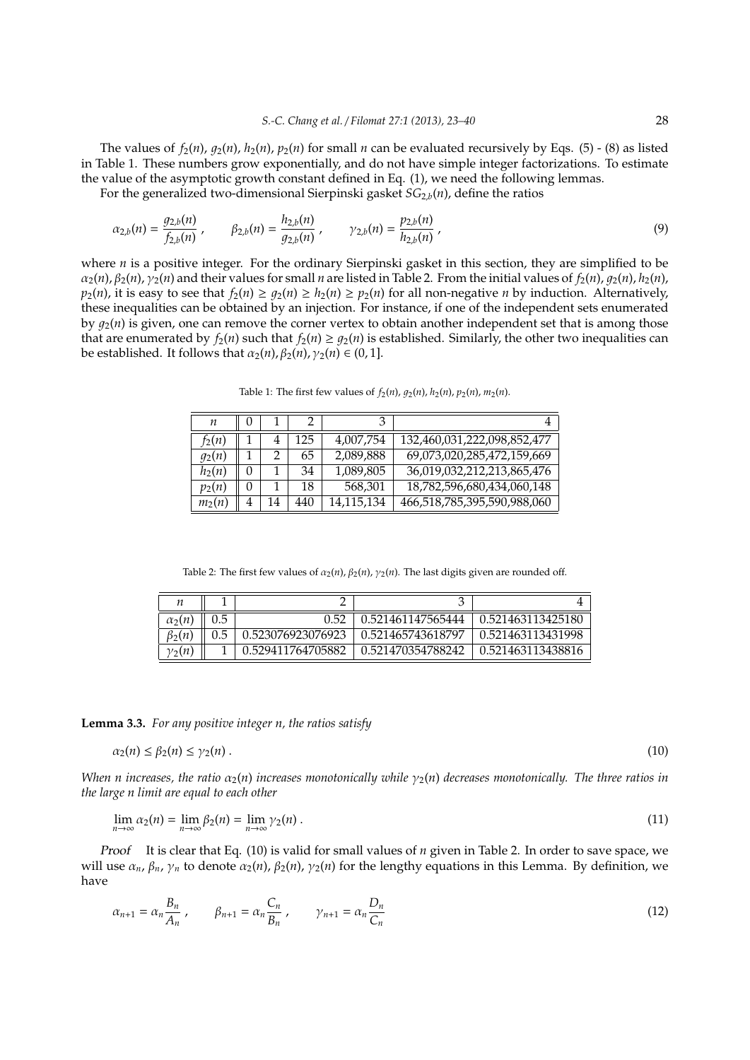The values of  $f_2(n)$ ,  $g_2(n)$ ,  $h_2(n)$ ,  $p_2(n)$  for small *n* can be evaluated recursively by Eqs. (5) - (8) as listed in Table 1. These numbers grow exponentially, and do not have simple integer factorizations. To estimate the value of the asymptotic growth constant defined in Eq. (1), we need the following lemmas.

For the generalized two-dimensional Sierpinski gasket *SG*2,*b*(*n*), define the ratios

$$
\alpha_{2,b}(n) = \frac{g_{2,b}(n)}{f_{2,b}(n)}, \qquad \beta_{2,b}(n) = \frac{h_{2,b}(n)}{g_{2,b}(n)}, \qquad \gamma_{2,b}(n) = \frac{p_{2,b}(n)}{h_{2,b}(n)},
$$
\n(9)

where *n* is a positive integer. For the ordinary Sierpinski gasket in this section, they are simplified to be  $\alpha_2(n)$ ,  $\beta_2(n)$ ,  $\gamma_2(n)$  and their values for small *n* are listed in Table 2. From the initial values of  $f_2(n)$ ,  $g_2(n)$ ,  $h_2(n)$ ,  $p_2(n)$ , it is easy to see that  $f_2(n) \geq g_2(n) \geq h_2(n) \geq p_2(n)$  for all non-negative *n* by induction. Alternatively, these inequalities can be obtained by an injection. For instance, if one of the independent sets enumerated by  $g_2(n)$  is given, one can remove the corner vertex to obtain another independent set that is among those that are enumerated by  $f_2(n)$  such that  $f_2(n) \geq g_2(n)$  is established. Similarly, the other two inequalities can be established. It follows that  $\alpha_2(n)$ ,  $\beta_2(n)$ ,  $\gamma_2(n) \in (0, 1]$ .

*n* || 0 || 1 || 2 || 3 || 3 || 4 *f*<sub>2</sub>(*n*) 1 4 125 4,007,754 132,460,031,222,098,852,477  $q_2(n)$  | 1 | 2 | 65 | 2,089,888 | 69,073,020,285,472,159,669 *h*<sub>2</sub>(*n*) 0 1 34 7,089,805 36,019,032,212,213,865,476 *p*<sub>2</sub>(*n*) 0 1 18 568,301 18,782,596,680,434,060,148<br> *m*<sub>2</sub>(*n*) 4 14 440 14,115,134 466,518,785,395,590,988,060 *m*<sub>2</sub>(*n*) 4 14 440 14,115,134 466,518,785,395,590,988,060

Table 1: The first few values of  $f_2(n)$ ,  $g_2(n)$ ,  $h_2(n)$ ,  $p_2(n)$ ,  $m_2(n)$ .

Table 2: The first few values of  $\alpha_2(n)$ ,  $\beta_2(n)$ ,  $\gamma_2(n)$ . The last digits given are rounded off.

| $\alpha_2(n)$ | 0.5 |                   | 0.521461147565444 | 0.521463113425180 |
|---------------|-----|-------------------|-------------------|-------------------|
| $\beta_2(n)$  |     | 0.523076923076923 | 0.521465743618797 | 0.521463113431998 |
| $\gamma_2(n)$ |     | 0.529411764705882 | 0.521470354788242 | 0.521463113438816 |

**Lemma 3.3.** *For any positive integer n, the ratios satisfy*

$$
\alpha_2(n) \le \beta_2(n) \le \gamma_2(n) \tag{10}
$$

*When n increases, the ratio*  $\alpha_2(n)$  *increases monotonically while*  $\gamma_2(n)$  *decreases monotonically. The three ratios in the large n limit are equal to each other*

$$
\lim_{n \to \infty} \alpha_2(n) = \lim_{n \to \infty} \beta_2(n) = \lim_{n \to \infty} \gamma_2(n) \,. \tag{11}
$$

Proof It is clear that Eq. (10) is valid for small values of *n* given in Table 2. In order to save space, we *will use*  $α_n$ ,  $β_n$ ,  $γ_n$  to denote  $α_2(n)$ ,  $β_2(n)$ ,  $γ_2(n)$  for the lengthy equations in this Lemma. By definition, we have

$$
\alpha_{n+1} = \alpha_n \frac{B_n}{A_n} , \qquad \beta_{n+1} = \alpha_n \frac{C_n}{B_n} , \qquad \gamma_{n+1} = \alpha_n \frac{D_n}{C_n}
$$
 (12)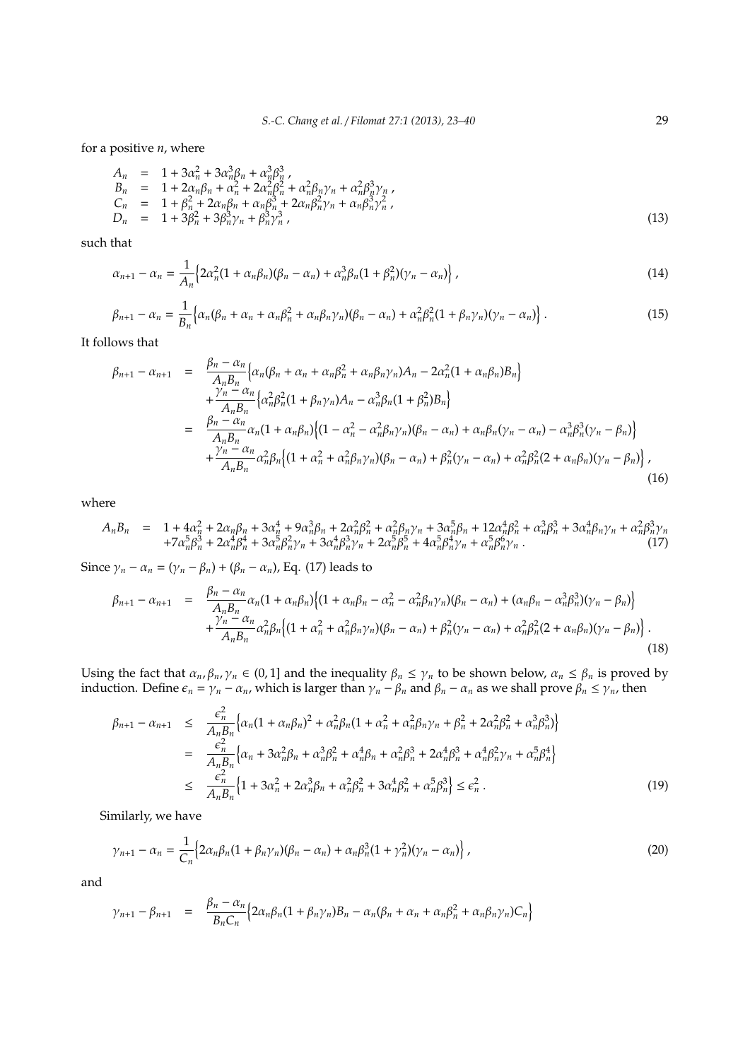for a positive *n*, where

$$
A_n = 1 + 3\alpha_n^2 + 3\alpha_n^3 \beta_n + \alpha_n^3 \beta_n^3,
$$
  
\n
$$
B_n = 1 + 2\alpha_n \beta_n + \alpha_n^2 + 2\alpha_n^2 \beta_n^2 + \alpha_n^2 \beta_n \gamma_n + \alpha_n^2 \beta_n^3 \gamma_n,
$$
  
\n
$$
C_n = 1 + \beta_n^2 + 2\alpha_n \beta_n + \alpha_n \beta_n^3 + 2\alpha_n \beta_n^2 \gamma_n + \alpha_n \beta_n^3 \gamma_n^2,
$$
  
\n
$$
D_n = 1 + 3\beta_n^2 + 3\beta_n^3 \gamma_n + \beta_n^3 \gamma_n^3,
$$
\n(13)

such that

$$
\alpha_{n+1} - \alpha_n = \frac{1}{A_n} \Big\{ 2\alpha_n^2 (1 + \alpha_n \beta_n) (\beta_n - \alpha_n) + \alpha_n^3 \beta_n (1 + \beta_n^2) (\gamma_n - \alpha_n) \Big\} \,, \tag{14}
$$

$$
\beta_{n+1} - \alpha_n = \frac{1}{B_n} \Big\{ \alpha_n (\beta_n + \alpha_n + \alpha_n \beta_n^2 + \alpha_n \beta_n \gamma_n) (\beta_n - \alpha_n) + \alpha_n^2 \beta_n^2 (1 + \beta_n \gamma_n) (\gamma_n - \alpha_n) \Big\} \,. \tag{15}
$$

It follows that

$$
\beta_{n+1} - \alpha_{n+1} = \frac{\beta_n - \alpha_n}{A_n B_n} \Big\{ \alpha_n (\beta_n + \alpha_n + \alpha_n \beta_n^2 + \alpha_n \beta_n \gamma_n) A_n - 2\alpha_n^2 (1 + \alpha_n \beta_n) B_n \Big\} \n+ \frac{\gamma_n - \alpha_n}{A_n B_n} \Big\{ \alpha_n^2 \beta_n^2 (1 + \beta_n \gamma_n) A_n - \alpha_n^3 \beta_n (1 + \beta_n^2) B_n \Big\} \n= \frac{\beta_n - \alpha_n}{A_n B_n} \alpha_n (1 + \alpha_n \beta_n) \Big\{ (1 - \alpha_n^2 - \alpha_n^2 \beta_n \gamma_n) (\beta_n - \alpha_n) + \alpha_n \beta_n (\gamma_n - \alpha_n) - \alpha_n^3 \beta_n^3 (\gamma_n - \beta_n) \Big\} \n+ \frac{\gamma_n - \alpha_n}{A_n B_n} \alpha_n^2 \beta_n \Big\{ (1 + \alpha_n^2 + \alpha_n^2 \beta_n \gamma_n) (\beta_n - \alpha_n) + \beta_n^2 (\gamma_n - \alpha_n) + \alpha_n^2 \beta_n^2 (2 + \alpha_n \beta_n) (\gamma_n - \beta_n) \Big\} , \tag{16}
$$

where

$$
A_n B_n = 1 + 4\alpha_n^2 + 2\alpha_n \beta_n + 3\alpha_n^4 + 9\alpha_n^3 \beta_n + 2\alpha_n^2 \beta_n^2 + \alpha_n^2 \beta_n \gamma_n + 3\alpha_n^5 \beta_n + 12\alpha_n^4 \beta_n^2 + \alpha_n^3 \beta_n^3 + 3\alpha_n^4 \beta_n \gamma_n + \alpha_n^2 \beta_n^3 \gamma_n + 7\alpha_n^5 \beta_n^4 + 3\alpha_n^5 \beta_n^2 \gamma_n + 3\alpha_n^4 \beta_n^3 \gamma_n + 2\alpha_n^5 \beta_n^5 \gamma_n + 4\alpha_n^5 \beta_n^4 \gamma_n + \alpha_n^5 \beta_n^6 \gamma_n. \tag{17}
$$

Since  $\gamma_n - \alpha_n = (\gamma_n - \beta_n) + (\beta_n - \alpha_n)$ , Eq. (17) leads to

$$
\beta_{n+1} - \alpha_{n+1} = \frac{\beta_n - \alpha_n}{A_n B_n} \alpha_n (1 + \alpha_n \beta_n) \Big\{ (1 + \alpha_n \beta_n - \alpha_n^2 - \alpha_n^2 \beta_n \gamma_n) (\beta_n - \alpha_n) + (\alpha_n \beta_n - \alpha_n^3 \beta_n^3) (\gamma_n - \beta_n) \Big\} + \frac{\gamma_n - \alpha_n}{A_n B_n} \alpha_n^2 \beta_n \Big\{ (1 + \alpha_n^2 + \alpha_n^2 \beta_n \gamma_n) (\beta_n - \alpha_n) + \beta_n^2 (\gamma_n - \alpha_n) + \alpha_n^2 \beta_n^2 (2 + \alpha_n \beta_n) (\gamma_n - \beta_n) \Big\} \,. \tag{18}
$$

Using the fact that  $\alpha_n$ ,  $\beta_n$ ,  $\gamma_n \in (0,1]$  and the inequality  $\beta_n \leq \gamma_n$  to be shown below,  $\alpha_n \leq \beta_n$  is proved by induction. Define  $\epsilon_n = \gamma_n - \alpha_n$ , which is larger than  $\gamma_n - \beta_n$  and  $\beta_n - \alpha_n$  as we shall prove  $\beta_n \le \gamma_n$ , then

$$
\beta_{n+1} - \alpha_{n+1} \leq \frac{\epsilon_n^2}{A_n B_n} \Big\{ \alpha_n (1 + \alpha_n \beta_n)^2 + \alpha_n^2 \beta_n (1 + \alpha_n^2 + \alpha_n^2 \beta_n \gamma_n + \beta_n^2 + 2 \alpha_n^2 \beta_n^2 + \alpha_n^3 \beta_n^3) \Big\}
$$
  
\n
$$
= \frac{\epsilon_n^2}{A_n B_n} \Big\{ \alpha_n + 3 \alpha_n^2 \beta_n + \alpha_n^3 \beta_n^2 + \alpha_n^4 \beta_n + \alpha_n^2 \beta_n^3 + 2 \alpha_n^4 \beta_n^3 + \alpha_n^4 \beta_n^2 \gamma_n + \alpha_n^5 \beta_n^4 \Big\}
$$
  
\n
$$
\leq \frac{\epsilon_n^2}{A_n B_n} \Big\{ 1 + 3 \alpha_n^2 + 2 \alpha_n^3 \beta_n + \alpha_n^2 \beta_n^2 + 3 \alpha_n^4 \beta_n^2 + \alpha_n^5 \beta_n^3 \Big\} \leq \epsilon_n^2 .
$$
 (19)

Similarly, we have

$$
\gamma_{n+1} - \alpha_n = \frac{1}{C_n} \Big\{ 2\alpha_n \beta_n (1 + \beta_n \gamma_n) (\beta_n - \alpha_n) + \alpha_n \beta_n^3 (1 + \gamma_n^2) (\gamma_n - \alpha_n) \Big\},\tag{20}
$$

and

$$
\gamma_{n+1} - \beta_{n+1} = \frac{\beta_n - \alpha_n}{B_n C_n} \Big\{ 2\alpha_n \beta_n (1 + \beta_n \gamma_n) B_n - \alpha_n (\beta_n + \alpha_n + \alpha_n \beta_n^2 + \alpha_n \beta_n \gamma_n) C_n \Big\}
$$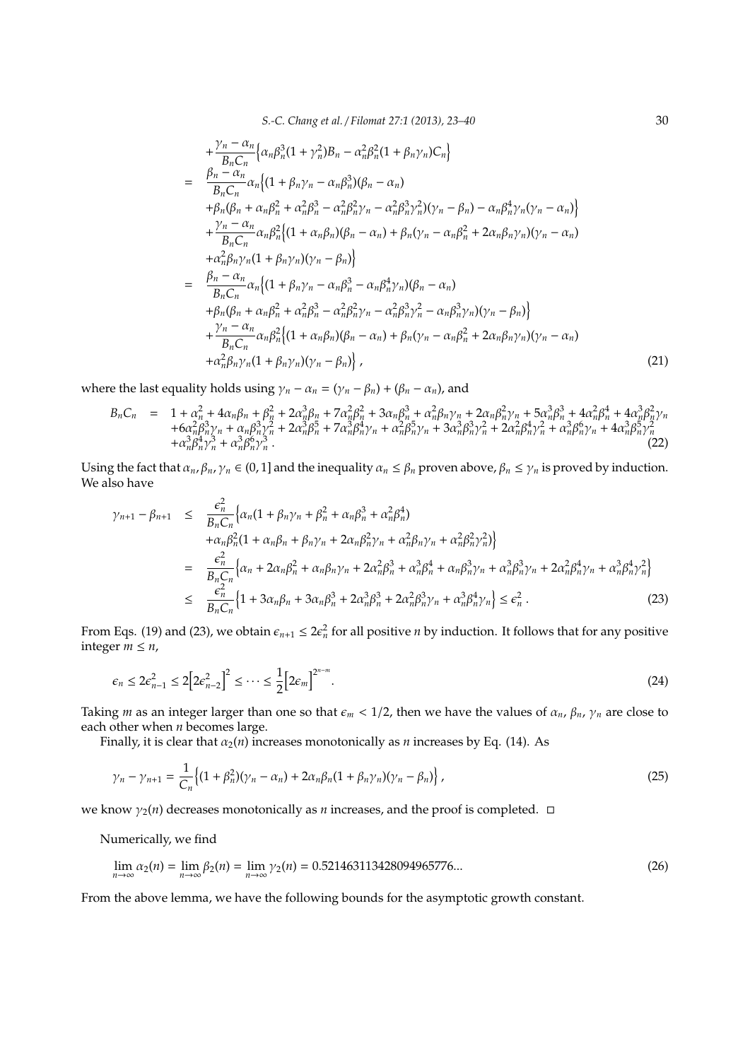*S.-C. Chang et al.* / *Filomat 27:1 (2013), 23–40* 30

$$
+\frac{\gamma_{n}-\alpha_{n}}{B_{n}C_{n}}\left\{\alpha_{n}\beta_{n}^{3}(1+\gamma_{n}^{2})B_{n}-\alpha_{n}^{2}\beta_{n}^{2}(1+\beta_{n}\gamma_{n})C_{n}\right\}=\frac{\beta_{n}-\alpha_{n}}{B_{n}C_{n}}\alpha_{n}\left\{(1+\beta_{n}\gamma_{n}-\alpha_{n}\beta_{n}^{3})(\beta_{n}-\alpha_{n})\right.+\beta_{n}(\beta_{n}+\alpha_{n}\beta_{n}^{2}+\alpha_{n}^{2}\beta_{n}^{3}-\alpha_{n}^{2}\beta_{n}^{2}\gamma_{n}-\alpha_{n}^{2}\beta_{n}^{3}\gamma_{n}^{2})(\gamma_{n}-\beta_{n})-\alpha_{n}\beta_{n}^{4}\gamma_{n}(\gamma_{n}-\alpha_{n})\right\}+\frac{\gamma_{n}-\alpha_{n}}{B_{n}C_{n}}\alpha_{n}\beta_{n}^{2}\left\{(1+\alpha_{n}\beta_{n})(\beta_{n}-\alpha_{n})+\beta_{n}(\gamma_{n}-\alpha_{n}\beta_{n}^{2}+2\alpha_{n}\beta_{n}\gamma_{n})(\gamma_{n}-\alpha_{n})\right.+\alpha_{n}^{2}\beta_{n}\gamma_{n}(1+\beta_{n}\gamma_{n})(\gamma_{n}-\beta_{n})\right\}=\frac{\beta_{n}-\alpha_{n}}{B_{n}C_{n}}\alpha_{n}\left\{(1+\beta_{n}\gamma_{n}-\alpha_{n}\beta_{n}^{3}-\alpha_{n}\beta_{n}^{4}\gamma_{n})(\beta_{n}-\alpha_{n})\right.+\beta_{n}(\beta_{n}+\alpha_{n}\beta_{n}^{2}+\alpha_{n}^{2}\beta_{n}^{3}-\alpha_{n}^{2}\beta_{n}^{2}\gamma_{n}-\alpha_{n}^{2}\beta_{n}^{3}\gamma_{n}^{2}-\alpha_{n}\beta_{n}^{3}\gamma_{n})(\gamma_{n}-\beta_{n})\right\}+\frac{\gamma_{n}-\alpha_{n}}{B_{n}C_{n}}\alpha_{n}\beta_{n}^{2}\left\{(1+\alpha_{n}\beta_{n})(\beta_{n}-\alpha_{n})+\beta_{n}(\gamma_{n}-\alpha_{n}\beta_{n}^{2}+2\alpha_{n}\beta_{n}\gamma_{n})(\gamma_{n}-\alpha_{n})\right.+\alpha_{n}^{2}\beta_{n}\gamma_{n}(1+\beta_{n}\gamma_{n})(\gamma_{n}-\beta_{n})\right\},
$$

where the last equality holds using  $\gamma_n - \alpha_n = (\gamma_n - \beta_n) + (\beta_n - \alpha_n)$ , and

$$
B_{n}C_{n} = 1 + \alpha_{n}^{2} + 4\alpha_{n}\beta_{n} + \beta_{n}^{2} + 2\alpha_{n}^{3}\beta_{n} + 7\alpha_{n}^{2}\beta_{n}^{2} + 3\alpha_{n}\beta_{n}^{3} + \alpha_{n}^{2}\beta_{n}\gamma_{n} + 2\alpha_{n}\beta_{n}^{2}\gamma_{n} + 5\alpha_{n}^{3}\beta_{n}^{3} + 4\alpha_{n}^{2}\beta_{n}^{4} + 4\alpha_{n}^{3}\beta_{n}^{2}\gamma_{n} + 6\alpha_{n}^{2}\beta_{n}^{3}\gamma_{n} + \alpha_{n}\beta_{n}^{3}\gamma_{n}^{2} + 2\alpha_{n}^{3}\beta_{n}^{5} + 7\alpha_{n}^{3}\beta_{n}^{4}\gamma_{n} + \alpha_{n}^{2}\beta_{n}^{5}\gamma_{n} + 3\alpha_{n}^{3}\beta_{n}^{3}\gamma_{n}^{2} + 2\alpha_{n}^{2}\beta_{n}^{4}\gamma_{n}^{2} + \alpha_{n}^{3}\beta_{n}^{6}\gamma_{n} + 4\alpha_{n}^{3}\beta_{n}^{5}\gamma_{n}^{2} + \alpha_{n}^{3}\beta_{n}^{6}\gamma_{n}^{3} + \alpha_{n}^{3}\beta_{n}^{6}\gamma_{n}^{3}.
$$
\n(22)

Using the fact that  $\alpha_n$ ,  $\beta_n$ ,  $\gamma_n \in (0, 1]$  and the inequality  $\alpha_n \leq \beta_n$  proven above,  $\beta_n \leq \gamma_n$  is proved by induction. We also have

$$
\gamma_{n+1} - \beta_{n+1} \leq \frac{\epsilon_n^2}{B_n C_n} \Big\{ \alpha_n (1 + \beta_n \gamma_n + \beta_n^2 + \alpha_n \beta_n^3 + \alpha_n^2 \beta_n^4) \n+ \alpha_n \beta_n^2 (1 + \alpha_n \beta_n + \beta_n \gamma_n + 2 \alpha_n \beta_n^2 \gamma_n + \alpha_n^2 \beta_n \gamma_n + \alpha_n^2 \beta_n^2 \gamma_n^2) \Big\} \n= \frac{\epsilon_n^2}{B_n C_n} \Big\{ \alpha_n + 2 \alpha_n \beta_n^2 + \alpha_n \beta_n \gamma_n + 2 \alpha_n^2 \beta_n^3 + \alpha_n^3 \beta_n^4 + \alpha_n \beta_n^3 \gamma_n + \alpha_n^3 \beta_n^3 \gamma_n + 2 \alpha_n^2 \beta_n^4 \gamma_n + \alpha_n^3 \beta_n^4 \gamma_n^2 \Big\} \n\leq \frac{\epsilon_n^2}{B_n C_n} \Big\{ 1 + 3 \alpha_n \beta_n + 3 \alpha_n \beta_n^3 + 2 \alpha_n^3 \beta_n^3 + 2 \alpha_n^2 \beta_n^3 \gamma_n + \alpha_n^3 \beta_n^4 \gamma_n \Big\} \leq \epsilon_n^2.
$$
\n(23)

From Eqs. (19) and (23), we obtain  $\epsilon_{n+1} \leq 2\epsilon_n^2$  for all positive *n* by induction. It follows that for any positive integer  $m \leq n$ ,

$$
\epsilon_n \le 2\epsilon_{n-1}^2 \le 2\Big[2\epsilon_{n-2}^2\Big]^2 \le \cdots \le \frac{1}{2}\Big[2\epsilon_m\Big]^{2^{n-m}}.\tag{24}
$$

Taking *m* as an integer larger than one so that  $\epsilon_m < 1/2$ , then we have the values of  $\alpha_n$ ,  $\beta_n$ ,  $\gamma_n$  are close to each other when *n* becomes large.

Finally, it is clear that  $\alpha_2(n)$  increases monotonically as *n* increases by Eq. (14). As

$$
\gamma_n - \gamma_{n+1} = \frac{1}{C_n} \Big\{ (1 + \beta_n^2)(\gamma_n - \alpha_n) + 2\alpha_n \beta_n (1 + \beta_n \gamma_n)(\gamma_n - \beta_n) \Big\},\tag{25}
$$

we know  $\gamma_2(n)$  decreases monotonically as *n* increases, and the proof is completed.  $\Box$ 

Numerically, we find

$$
\lim_{n \to \infty} \alpha_2(n) = \lim_{n \to \infty} \beta_2(n) = \lim_{n \to \infty} \gamma_2(n) = 0.521463113428094965776... \tag{26}
$$

From the above lemma, we have the following bounds for the asymptotic growth constant.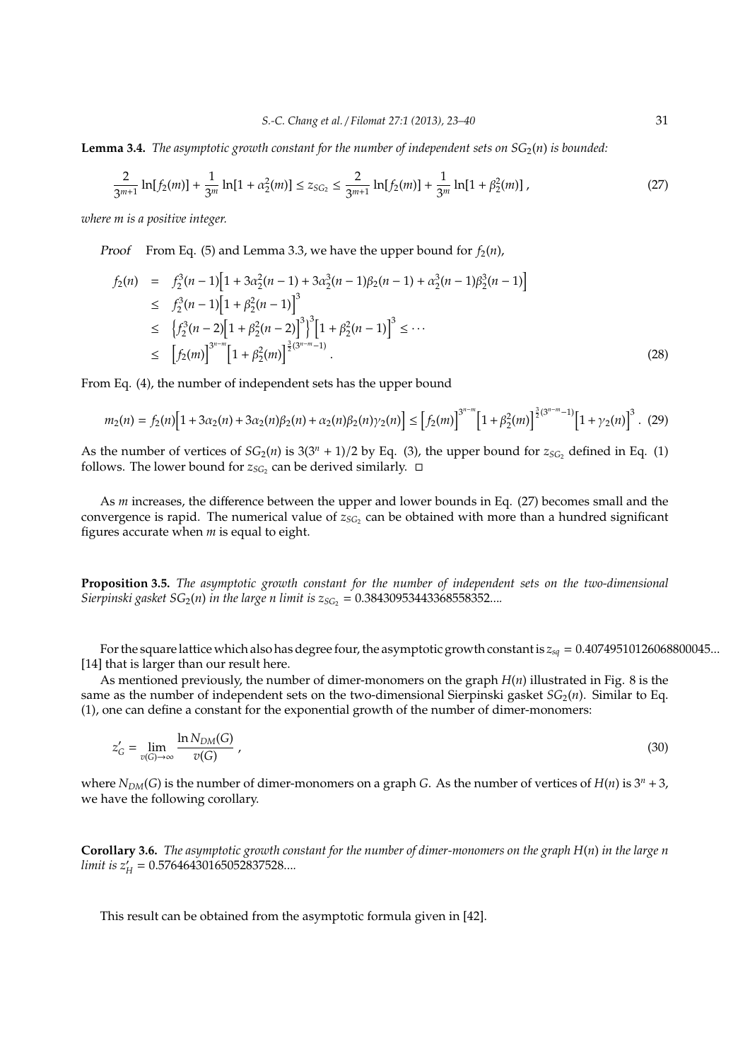**Lemma 3.4.** *The asymptotic growth constant for the number of independent sets on*  $SG<sub>2</sub>(n)$  *is bounded:* 

$$
\frac{2}{3^{m+1}}\ln[f_2(m)] + \frac{1}{3^m}\ln[1+\alpha_2^2(m)] \le z_{SG_2} \le \frac{2}{3^{m+1}}\ln[f_2(m)] + \frac{1}{3^m}\ln[1+\beta_2^2(m)]\,,\tag{27}
$$

*where m is a positive integer.*

*Proof* From Eq. (5) and Lemma 3.3, we have the upper bound for  $f_2(n)$ ,

$$
f_2(n) = f_2^3(n-1)\left[1+3\alpha_2^2(n-1)+3\alpha_2^3(n-1)\beta_2(n-1)+\alpha_2^3(n-1)\beta_2^3(n-1)\right]
$$
  
\n
$$
\leq f_2^3(n-1)\left[1+\beta_2^2(n-1)\right]^3
$$
  
\n
$$
\leq \left\{f_2^3(n-2)\left[1+\beta_2^2(n-2)\right]^3\right\}^3\left[1+\beta_2^2(n-1)\right]^3 \leq \cdots
$$
  
\n
$$
\leq \left[f_2(m)\right]^{3^{n-m}}\left[1+\beta_2^2(m)\right]^{\frac{3}{2}(3^{n-m}-1)}.
$$
 (28)

From Eq. (4), the number of independent sets has the upper bound

$$
m_2(n) = f_2(n) \Big[ 1 + 3\alpha_2(n) + 3\alpha_2(n)\beta_2(n) + \alpha_2(n)\beta_2(n)\gamma_2(n) \Big] \le \Big[ f_2(m) \Big]^{3^{n-m}} \Big[ 1 + \beta_2^2(m) \Big]^{\frac{3}{2}(3^{n-m}-1)} \Big[ 1 + \gamma_2(n) \Big]^3. \tag{29}
$$

As the number of vertices of  $SG_2(n)$  is  $3(3^n + 1)/2$  by Eq. (3), the upper bound for  $z_{SG_2}$  defined in Eq. (1) follows. The lower bound for  $z_{SG_2}$  can be derived similarly.  $\Box$ 

As *m* increases, the difference between the upper and lower bounds in Eq. (27) becomes small and the convergence is rapid. The numerical value of  $z_{SC_2}$  can be obtained with more than a hundred significant figures accurate when *m* is equal to eight.

**Proposition 3.5.** *The asymptotic growth constant for the number of independent sets on the two-dimensional Sierpinski gasket*  $SG_2(n)$  *in the large n limit is*  $z_{SG_2} = 0.38430953443368558352...$ *...* 

For the square lattice which also has degree four, the asymptotic growth constant is *zsq* = 0.40749510126068800045... [14] that is larger than our result here.

As mentioned previously, the number of dimer-monomers on the graph *H*(*n*) illustrated in Fig. 8 is the same as the number of independent sets on the two-dimensional Sierpinski gasket  $SG<sub>2</sub>(n)$ . Similar to Eq. (1), one can define a constant for the exponential growth of the number of dimer-monomers:

$$
z'_{G} = \lim_{v(G) \to \infty} \frac{\ln N_{DM}(G)}{v(G)} , \qquad (30)
$$

where  $N_{DM}(G)$  is the number of dimer-monomers on a graph *G*. As the number of vertices of  $H(n)$  is  $3^n + 3$ , we have the following corollary.

**Corollary 3.6.** *The asymptotic growth constant for the number of dimer-monomers on the graph H*(*n*) *in the large n limit is z*′ *H* = 0.57646430165052837528...*.*

This result can be obtained from the asymptotic formula given in [42].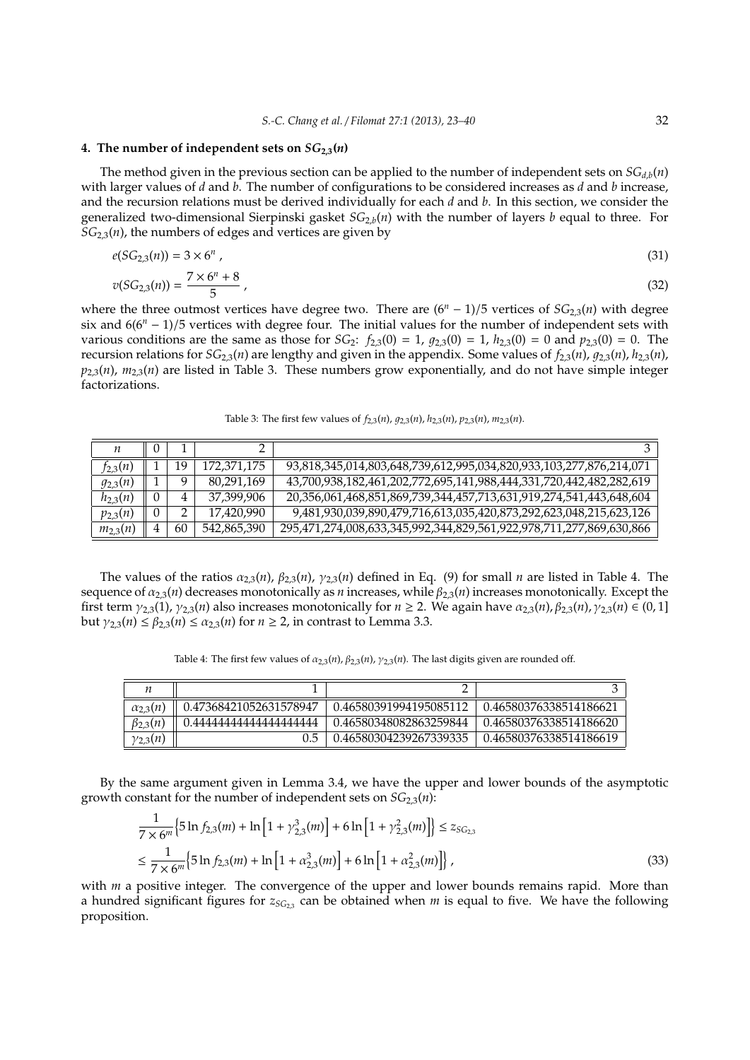#### **4.** The number of independent sets on  $SG_{2,3}(n)$

The method given in the previous section can be applied to the number of independent sets on  $SG_{d,b}(n)$ with larger values of *d* and *b*. The number of configurations to be considered increases as *d* and *b* increase, and the recursion relations must be derived individually for each *d* and *b*. In this section, we consider the generalized two-dimensional Sierpinski gasket *SG*2,*b*(*n*) with the number of layers *b* equal to three. For  $SG<sub>2,3</sub>(n)$ , the numbers of edges and vertices are given by

$$
e(SG_{2,3}(n)) = 3 \times 6^n \tag{31}
$$

$$
v(SG_{2,3}(n)) = \frac{7 \times 6^n + 8}{5} \tag{32}
$$

where the three outmost vertices have degree two. There are (6*<sup>n</sup>* − 1)/5 vertices of *SG*2,3(*n*) with degree six and 6(6*<sup>n</sup>* − 1)/5 vertices with degree four. The initial values for the number of independent sets with various conditions are the same as those for *SG*<sub>2</sub>:  $f_{2,3}(0) = 1$ ,  $g_{2,3}(0) = 1$ ,  $h_{2,3}(0) = 0$  and  $p_{2,3}(0) = 0$ . The recursion relations for  $SG_{2,3}(n)$  are lengthy and given in the appendix. Some values of  $f_{2,3}(n)$ ,  $g_{2,3}(n)$ ,  $h_{2,3}(n)$ , *p*2,3(*n*), *m*2,3(*n*) are listed in Table 3. These numbers grow exponentially, and do not have simple integer factorizations.

Table 3: The first few values of  $f_{2,3}(n)$ ,  $g_{2,3}(n)$ ,  $h_{2,3}(n)$ ,  $p_{2,3}(n)$ ,  $m_{2,3}(n)$ .

| п            | $\Omega$ |    |             |                                                                     |
|--------------|----------|----|-------------|---------------------------------------------------------------------|
| $t_{2,3}(n)$ |          | 19 | 172,371,175 | 93,818,345,014,803,648,739,612,995,034,820,933,103,277,876,214,071  |
| $g_{2,3}(n)$ |          |    | 80,291,169  | 43,700,938,182,461,202,772,695,141,988,444,331,720,442,482,282,619  |
| $h_{2,3}(n)$ | 0        | 4  | 37,399,906  | 20,356,061,468,851,869,739,344,457,713,631,919,274,541,443,648,604  |
| $p_{2,3}(n)$ | $\theta$ |    | 17,420,990  | 9,481,930,039,890,479,716,613,035,420,873,292,623,048,215,623,126   |
| $m_{2,3}(n)$ | 4        | 60 | 542,865,390 | 295,471,274,008,633,345,992,344,829,561,922,978,711,277,869,630,866 |

The values of the ratios  $\alpha_{2,3}(n)$ ,  $\beta_{2,3}(n)$ ,  $\gamma_{2,3}(n)$  defined in Eq. (9) for small *n* are listed in Table 4. The sequence of  $\alpha_{2,3}(n)$  decreases monotonically as *n* increases, while  $\beta_{2,3}(n)$  increases monotonically. Except the first term  $\gamma_{2,3}(1)$ ,  $\gamma_{2,3}(n)$  also increases monotonically for  $n \ge 2$ . We again have  $\alpha_{2,3}(n)$ ,  $\beta_{2,3}(n)$ ,  $\gamma_{2,3}(n) \in (0,1]$ but  $\gamma_{2,3}(n) \leq \beta_{2,3}(n) \leq \alpha_{2,3}(n)$  for  $n \geq 2$ , in contrast to Lemma 3.3.

Table 4: The first few values of  $\alpha_{2,3}(n)$ ,  $\beta_{2,3}(n)$ ,  $\gamma_{2,3}(n)$ . The last digits given are rounded off.

| $\alpha_{2,3}(n)$ | 0.47368421052631578947 | 0.46580391994195085112 | 0.46580376338514186621 |
|-------------------|------------------------|------------------------|------------------------|
| $\beta_{2,3}(n)$  | 4444444444444444444    | 0.46580348082863259844 | 0.46580376338514186620 |
| $\gamma_{2,3}(n)$ |                        | 0.46580304239267339335 | 0.46580376338514186619 |

By the same argument given in Lemma 3.4, we have the upper and lower bounds of the asymptotic growth constant for the number of independent sets on *SG*2,3(*n*):

$$
\frac{1}{7 \times 6^m} \left\{ 5 \ln f_{2,3}(m) + \ln \left[ 1 + \gamma_{2,3}^3(m) \right] + 6 \ln \left[ 1 + \gamma_{2,3}^2(m) \right] \right\} \le z_{SG_{2,3}} \le \frac{1}{7 \times 6^m} \left\{ 5 \ln f_{2,3}(m) + \ln \left[ 1 + \alpha_{2,3}^3(m) \right] + 6 \ln \left[ 1 + \alpha_{2,3}^2(m) \right] \right\},
$$
\n(33)

with *m* a positive integer. The convergence of the upper and lower bounds remains rapid. More than a hundred significant figures for *zSG*2,<sup>3</sup> can be obtained when *m* is equal to five. We have the following proposition.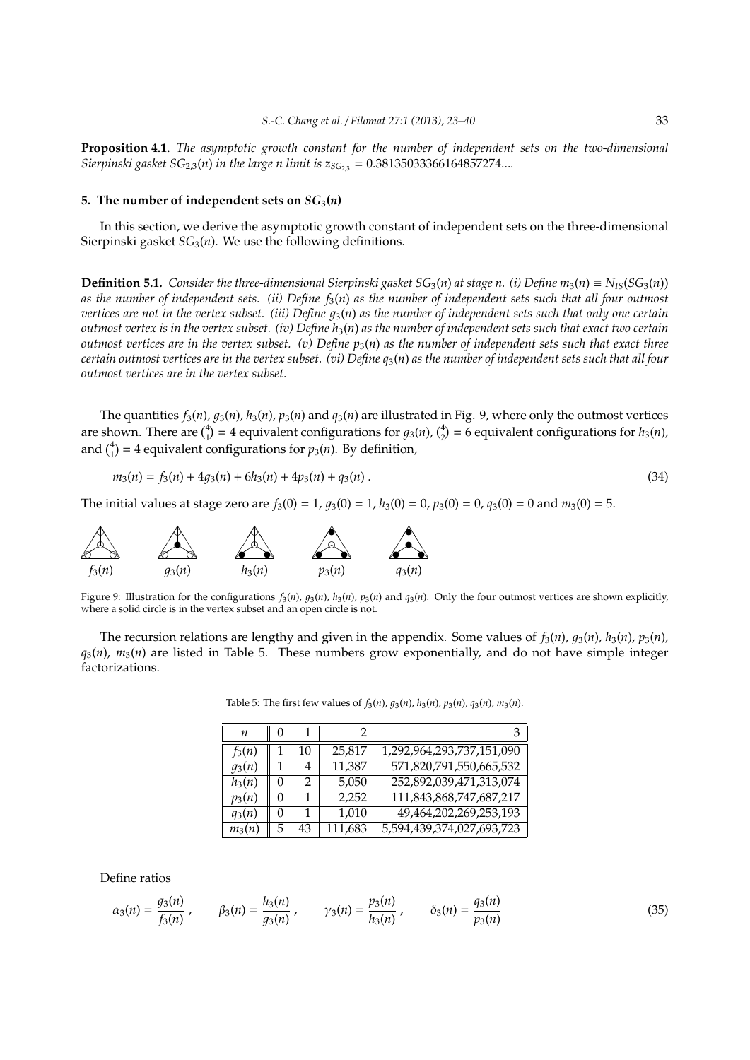**Proposition 4.1.** *The asymptotic growth constant for the number of independent sets on the two-dimensional Sierpinski gasket*  $SG_{2,3}(n)$  *in the large n limit is*  $z_{SG_{2,3}} = 0.38135033366164857274...$ 

#### 5. The number of independent sets on  $SG_3(n)$

In this section, we derive the asymptotic growth constant of independent sets on the three-dimensional Sierpinski gasket *SG*<sub>3</sub>(*n*). We use the following definitions.

**Definition 5.1.** *Consider the three-dimensional Sierpinski gasket*  $SG_3(n)$  *at stage n. (i) Define*  $m_3(n) \equiv N_{IS}(SG_3(n))$ *as the number of independent sets. (ii) Define f*3(*n*) *as the number of independent sets such that all four outmost vertices are not in the vertex subset. (iii) Define*  $q_3(n)$  *as the number of independent sets such that only one certain outmost vertex is in the vertex subset. (iv) Define h*3(*n*) *as the number of independent sets such that exact two certain outmost vertices are in the vertex subset. (v) Define p*3(*n*) *as the number of independent sets such that exact three certain outmost vertices are in the vertex subset. (vi) Define q*3(*n*) *as the number of independent sets such that all four outmost vertices are in the vertex subset.*

The quantities  $f_3(n)$ ,  $g_3(n)$ ,  $h_3(n)$ ,  $p_3(n)$  and  $q_3(n)$  are illustrated in Fig. 9, where only the outmost vertices are shown. There are  $\binom{4}{1}$  = 4 equivalent configurations for  $g_3(n)$ ,  $\binom{4}{2}$  = 6 equivalent configurations for  $h_3(n)$ , and  $\binom{4}{1}$  = 4 equivalent configurations for *p*<sub>3</sub>(*n*). By definition,

$$
m_3(n) = f_3(n) + 4g_3(n) + 6h_3(n) + 4p_3(n) + q_3(n) \tag{34}
$$

The initial values at stage zero are  $f_3(0) = 1$ ,  $q_3(0) = 1$ ,  $h_3(0) = 0$ ,  $p_3(0) = 0$ ,  $q_3(0) = 0$  and  $m_3(0) = 5$ .



Figure 9: Illustration for the configurations  $f_3(n)$ ,  $g_3(n)$ ,  $h_3(n)$ ,  $p_3(n)$  and  $q_3(n)$ . Only the four outmost vertices are shown explicitly, where a solid circle is in the vertex subset and an open circle is not.

The recursion relations are lengthy and given in the appendix. Some values of  $f_3(n)$ ,  $g_3(n)$ ,  $h_3(n)$ ,  $p_3(n)$ ,  $q_3(n)$ ,  $m_3(n)$  are listed in Table 5. These numbers grow exponentially, and do not have simple integer factorizations.

| п        |   |    |         | З                         |
|----------|---|----|---------|---------------------------|
| $f_3(n)$ |   | 10 | 25,817  | 1,292,964,293,737,151,090 |
| $q_3(n)$ |   | 4  | 11,387  | 571,820,791,550,665,532   |
| $h_3(n)$ |   | 2  | 5,050   | 252,892,039,471,313,074   |
| $p_3(n)$ |   |    | 2,252   | 111,843,868,747,687,217   |
| $q_3(n)$ |   |    | 1,010   | 49,464,202,269,253,193    |
| $m_3(n)$ | 5 | 43 | 111,683 | 5,594,439,374,027,693,723 |

Table 5: The first few values of  $f_3(n)$ ,  $g_3(n)$ ,  $h_3(n)$ ,  $p_3(n)$ ,  $q_3(n)$ ,  $m_3(n)$ .

Define ratios

$$
\alpha_3(n) = \frac{g_3(n)}{f_3(n)}, \qquad \beta_3(n) = \frac{h_3(n)}{g_3(n)}, \qquad \gamma_3(n) = \frac{p_3(n)}{h_3(n)}, \qquad \delta_3(n) = \frac{q_3(n)}{p_3(n)} \tag{35}
$$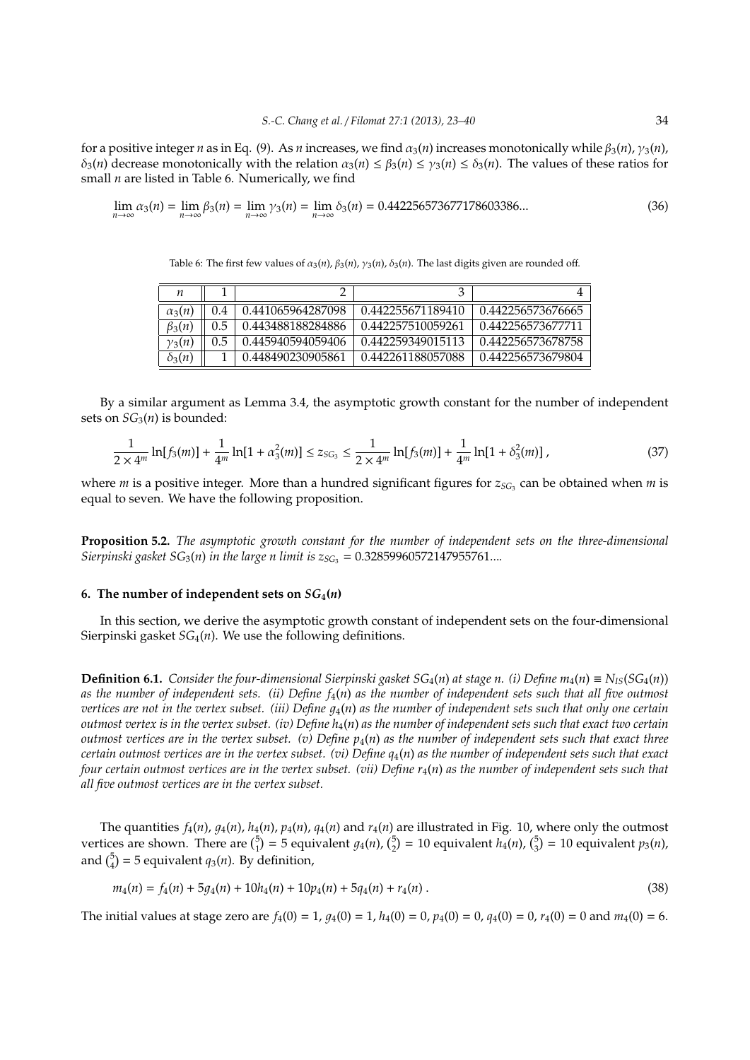for a positive integer *n* as in Eq. (9). As *n* increases, we find  $\alpha_3(n)$  increases monotonically while  $\beta_3(n)$ ,  $\gamma_3(n)$ ,  $\delta_3(n)$  decrease monotonically with the relation  $\alpha_3(n) \leq \beta_3(n) \leq \gamma_3(n) \leq \delta_3(n)$ . The values of these ratios for small *n* are listed in Table 6. Numerically, we find

$$
\lim_{n \to \infty} \alpha_3(n) = \lim_{n \to \infty} \beta_3(n) = \lim_{n \to \infty} \gamma_3(n) = \lim_{n \to \infty} \delta_3(n) = 0.442256573677178603386...
$$
 (36)

Table 6: The first few values of  $\alpha_3(n)$ ,  $\beta_3(n)$ ,  $\gamma_3(n)$ ,  $\delta_3(n)$ . The last digits given are rounded off.

| п             |     |                   |                   |                   |
|---------------|-----|-------------------|-------------------|-------------------|
| $\alpha_3(n)$ | 0.4 | 0.441065964287098 | 0.442255671189410 | 0.442256573676665 |
| $\beta_3(n)$  | 0.5 | 0.443488188284886 | 0.442257510059261 | 0.442256573677711 |
| $\gamma_3(n)$ | 0.5 | 0.445940594059406 | 0.442259349015113 | 0.442256573678758 |
| $\delta_3(n)$ |     | 0.448490230905861 | 0.442261188057088 | 0.442256573679804 |

By a similar argument as Lemma 3.4, the asymptotic growth constant for the number of independent sets on  $SG_3(n)$  is bounded:

$$
\frac{1}{2 \times 4^m} \ln[f_3(m)] + \frac{1}{4^m} \ln[1 + \alpha_3^2(m)] \le z_{SG_3} \le \frac{1}{2 \times 4^m} \ln[f_3(m)] + \frac{1}{4^m} \ln[1 + \delta_3^2(m)] \,,\tag{37}
$$

where *m* is a positive integer. More than a hundred significant figures for  $z_{SG_3}$  can be obtained when *m* is equal to seven. We have the following proposition.

**Proposition 5.2.** *The asymptotic growth constant for the number of independent sets on the three-dimensional Sierpinski gasket*  $SG_3(n)$  *in the large n limit is*  $z_{SG_3} = 0.32859960572147955761...$ 

#### 6. The number of independent sets on  $SG_4(n)$

In this section, we derive the asymptotic growth constant of independent sets on the four-dimensional Sierpinski gasket *SG*4(*n*). We use the following definitions.

**Definition 6.1.** *Consider the four-dimensional Sierpinski gasket*  $SG_4(n)$  *at stage n. (i) Define*  $m_4(n) \equiv N_{IS}(SG_4(n))$ *as the number of independent sets. (ii) Define f*4(*n*) *as the number of independent sets such that all five outmost vertices are not in the vertex subset. (iii) Define*  $q_4(n)$  *as the number of independent sets such that only one certain outmost vertex is in the vertex subset. (iv) Define*  $h_4(n)$  *as the number of independent sets such that exact two certain outmost vertices are in the vertex subset. (v) Define*  $p_4(n)$  *as the number of independent sets such that exact three certain outmost vertices are in the vertex subset. (vi) Define q*4(*n*) *as the number of independent sets such that exact four certain outmost vertices are in the vertex subset. (vii) Define r<sub>4</sub>(<i>n*) *as the number of independent sets such that all five outmost vertices are in the vertex subset.*

The quantities  $f_4(n)$ ,  $g_4(n)$ ,  $h_4(n)$ ,  $p_4(n)$ ,  $q_4(n)$  and  $r_4(n)$  are illustrated in Fig. 10, where only the outmost vertices are shown. There are  $\binom{5}{1}$  = 5 equivalent  $g_4(n)$ ,  $\binom{5}{2}$  = 10 equivalent  $h_4(n)$ ,  $\binom{5}{3}$  = 10 equivalent  $p_3(n)$ , and  $\binom{5}{4}$  = 5 equivalent *q*<sub>3</sub>(*n*). By definition,

$$
m_4(n) = f_4(n) + 5g_4(n) + 10h_4(n) + 10p_4(n) + 5q_4(n) + r_4(n) \tag{38}
$$

The initial values at stage zero are  $f_4(0) = 1$ ,  $g_4(0) = 1$ ,  $h_4(0) = 0$ ,  $p_4(0) = 0$ ,  $q_4(0) = 0$ ,  $r_4(0) = 0$  and  $m_4(0) = 6$ .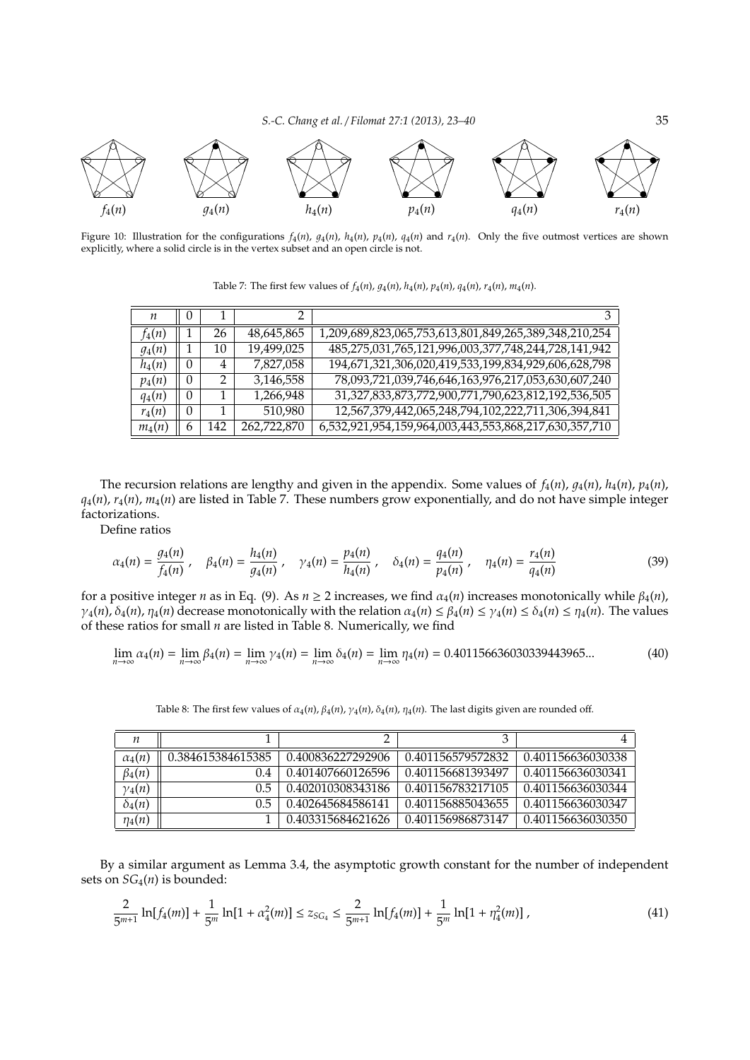*S.-C. Chang et al.* / *Filomat 27:1 (2013), 23–40* 35



Figure 10: Illustration for the configurations  $f_4(n)$ ,  $g_4(n)$ ,  $h_4(n)$ ,  $p_4(n)$ ,  $q_4(n)$  and  $r_4(n)$ . Only the five outmost vertices are shown explicitly, where a solid circle is in the vertex subset and an open circle is not.

| $\boldsymbol{n}$ | 0        |     |             | 3                                                     |
|------------------|----------|-----|-------------|-------------------------------------------------------|
| $f_4(n)$         |          | 26  | 48,645,865  | 1,209,689,823,065,753,613,801,849,265,389,348,210,254 |
| $g_4(n)$         |          | 10  | 19,499,025  | 485,275,031,765,121,996,003,377,748,244,728,141,942   |
| $h_4(n)$         | $\theta$ | 4   | 7,827,058   | 194,671,321,306,020,419,533,199,834,929,606,628,798   |
| $p_4(n)$         | $\theta$ | 2   | 3,146,558   | 78,093,721,039,746,646,163,976,217,053,630,607,240    |
| $q_4(n)$         | 0        |     | 1,266,948   | 31,327,833,873,772,900,771,790,623,812,192,536,505    |
| $r_4(n)$         | $\theta$ |     | 510,980     | 12,567,379,442,065,248,794,102,222,711,306,394,841    |
| $m_4(n)$         | 6        | 142 | 262,722,870 | 6,532,921,954,159,964,003,443,553,868,217,630,357,710 |

Table 7: The first few values of  $f_4(n)$ ,  $g_4(n)$ ,  $h_4(n)$ ,  $p_4(n)$ ,  $q_4(n)$ ,  $r_4(n)$ ,  $m_4(n)$ .

The recursion relations are lengthy and given in the appendix. Some values of  $f_4(n)$ ,  $g_4(n)$ ,  $h_4(n)$ ,  $p_4(n)$ ,  $q_4(n)$ ,  $r_4(n)$ ,  $m_4(n)$  are listed in Table 7. These numbers grow exponentially, and do not have simple integer factorizations.

Define ratios

$$
\alpha_4(n) = \frac{g_4(n)}{f_4(n)}, \quad \beta_4(n) = \frac{h_4(n)}{g_4(n)}, \quad \gamma_4(n) = \frac{p_4(n)}{h_4(n)}, \quad \delta_4(n) = \frac{q_4(n)}{p_4(n)}, \quad \eta_4(n) = \frac{r_4(n)}{q_4(n)}\tag{39}
$$

for a positive integer *n* as in Eq. (9). As  $n \ge 2$  increases, we find  $\alpha_4(n)$  increases monotonically while  $β_4(n)$ ,  $\gamma_4(n)$ ,  $\delta_4(n)$ ,  $\eta_4(n)$  decrease monotonically with the relation  $\alpha_4(n) \leq \beta_4(n) \leq \gamma_4(n) \leq \delta_4(n) \leq \eta_4(n)$ . The values of these ratios for small *n* are listed in Table 8. Numerically, we find

$$
\lim_{n \to \infty} \alpha_4(n) = \lim_{n \to \infty} \beta_4(n) = \lim_{n \to \infty} \gamma_4(n) = \lim_{n \to \infty} \delta_4(n) = \lim_{n \to \infty} \eta_4(n) = 0.401156636030339443965... \tag{40}
$$

| $\boldsymbol{n}$ |                   |                   | 3                 |                   |
|------------------|-------------------|-------------------|-------------------|-------------------|
| $\alpha_4(n)$    | 0.384615384615385 | 0.400836227292906 | 0.401156579572832 | 0.401156636030338 |
| $\beta_4(n)$     | (1.4              | 0.401407660126596 | 0.401156681393497 | 0.401156636030341 |
| $\gamma_4(n)$    | 0.5               | 0.402010308343186 | 0.401156783217105 | 0.401156636030344 |
| $\delta_4(n)$    | 0.5               | 0.402645684586141 | 0.401156885043655 | 0.401156636030347 |
| $\eta_4(n)$      |                   | 0.403315684621626 | 0.401156986873147 | 0.401156636030350 |

Table 8: The first few values of  $\alpha_4(n)$ ,  $\beta_4(n)$ ,  $\gamma_4(n)$ ,  $\delta_4(n)$ ,  $\eta_4(n)$ . The last digits given are rounded off.

By a similar argument as Lemma 3.4, the asymptotic growth constant for the number of independent sets on *SG*4(*n*) is bounded:

$$
\frac{2}{5^{m+1}}\ln[f_4(m)] + \frac{1}{5^m}\ln[1+\alpha_4^2(m)] \le z_{SG_4} \le \frac{2}{5^{m+1}}\ln[f_4(m)] + \frac{1}{5^m}\ln[1+\eta_4^2(m)]\,,\tag{41}
$$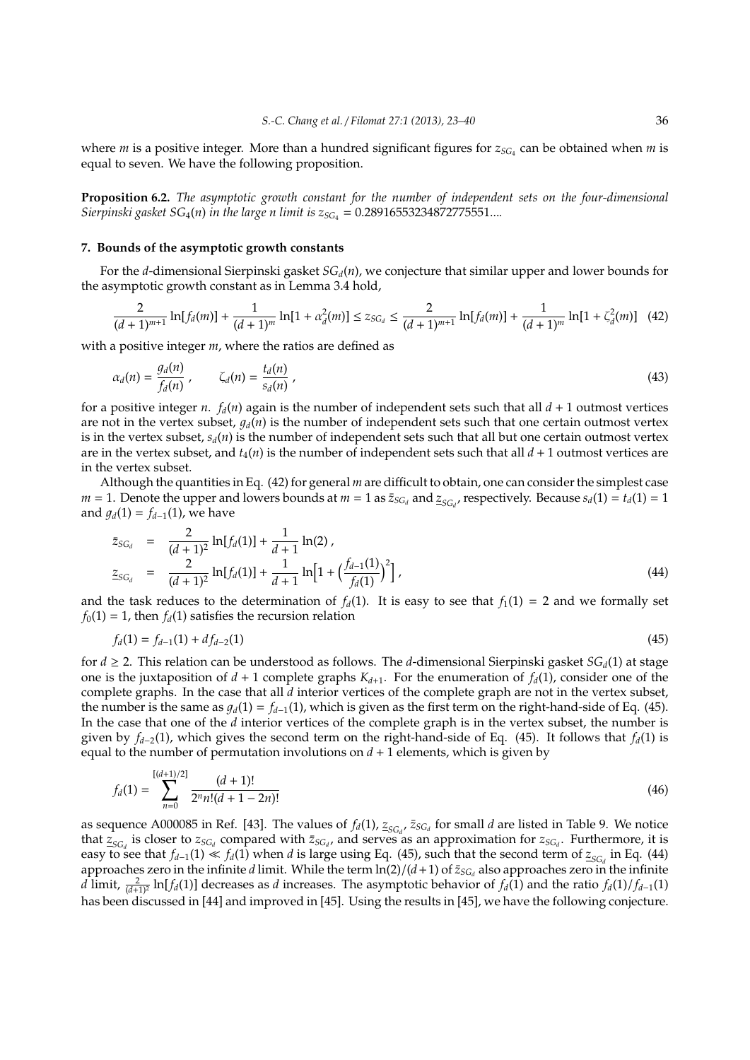where *m* is a positive integer. More than a hundred significant figures for  $z_{SG_4}$  can be obtained when *m* is equal to seven. We have the following proposition.

**Proposition 6.2.** *The asymptotic growth constant for the number of independent sets on the four-dimensional Sierpinski gasket*  $SG_4(n)$  *in the large n limit is*  $z_{SG_4} = 0.28916553234872775551...$ 

#### **7. Bounds of the asymptotic growth constants**

For the *d*-dimensional Sierpinski gasket *SGd*(*n*), we conjecture that similar upper and lower bounds for the asymptotic growth constant as in Lemma 3.4 hold,

$$
\frac{2}{(d+1)^{m+1}}\ln[f_d(m)] + \frac{1}{(d+1)^m}\ln[1+\alpha_d^2(m)] \le z_{SG_d} \le \frac{2}{(d+1)^{m+1}}\ln[f_d(m)] + \frac{1}{(d+1)^m}\ln[1+\zeta_d^2(m)] \quad (42)
$$

with a positive integer *m*, where the ratios are defined as

$$
\alpha_d(n) = \frac{g_d(n)}{f_d(n)}, \qquad \zeta_d(n) = \frac{t_d(n)}{s_d(n)}, \qquad (43)
$$

for a positive integer *n*.  $f_d(n)$  again is the number of independent sets such that all  $d + 1$  outmost vertices are not in the vertex subset,  $q_d(n)$  is the number of independent sets such that one certain outmost vertex is in the vertex subset,  $s_d(n)$  is the number of independent sets such that all but one certain outmost vertex are in the vertex subset, and  $t_4(n)$  is the number of independent sets such that all  $d + 1$  outmost vertices are in the vertex subset.

Although the quantities in Eq. (42) for general *m* are difficult to obtain, one can consider the simplest case  $m = 1$ . Denote the upper and lowers bounds at  $m = 1$  as  $\bar{z}_{SG_d}$  and  $\bar{z}_{SG_d}$ , respectively. Because  $s_d(1) = t_d(1) = 1$ and  $g_d(1) = f_{d-1}(1)$ , we have

$$
\bar{z}_{SG_d} = \frac{2}{(d+1)^2} \ln[f_d(1)] + \frac{1}{d+1} \ln(2),
$$
\n
$$
\bar{z}_{SG_d} = \frac{2}{(d+1)^2} \ln[f_d(1)] + \frac{1}{d+1} \ln\left[1 + \left(\frac{f_{d-1}(1)}{f_d(1)}\right)^2\right],
$$
\n(44)

and the task reduces to the determination of  $f_d(1)$ . It is easy to see that  $f_1(1) = 2$  and we formally set  $f_0(1) = 1$ , then  $f_d(1)$  satisfies the recursion relation

$$
f_d(1) = f_{d-1}(1) + df_{d-2}(1) \tag{45}
$$

for *d* ≥ 2. This relation can be understood as follows. The *d*-dimensional Sierpinski gasket *SGd*(1) at stage one is the juxtaposition of  $d + 1$  complete graphs  $K_{d+1}$ . For the enumeration of  $f_d(1)$ , consider one of the complete graphs. In the case that all *d* interior vertices of the complete graph are not in the vertex subset, the number is the same as  $g_d(1) = f_{d-1}(1)$ , which is given as the first term on the right-hand-side of Eq. (45). In the case that one of the *d* interior vertices of the complete graph is in the vertex subset, the number is given by *f<sup>d</sup>*−<sup>2</sup>(1), which gives the second term on the right-hand-side of Eq. (45). It follows that *fd*(1) is equal to the number of permutation involutions on  $d + 1$  elements, which is given by

$$
f_d(1) = \sum_{n=0}^{[(d+1)/2]} \frac{(d+1)!}{2^n n!(d+1-2n)!}
$$
\n(46)

as sequence A000085 in Ref. [43]. The values of  $f_d(1)$ ,  $\mathbf{z}_{SG_d}$ ,  $\mathbf{z}_{SG_d}$  for small *d* are listed in Table 9. We notice that  $z_{SG_d}$  is closer to  $z_{SG_d}$  compared with  $\bar{z}_{SG_d}$ , and serves as an approximation for  $z_{SG_d}$ . Furthermore, it is easy to see that  $f_{d-1}(1) \ll f_d(1)$  when *d* is large using Eq. (45), such that the second term of  $z_{SG_d}$  in Eq. (44) approaches zero in the infinite *d* limit. While the term  $\ln(2)/(d+1)$  of  $\bar{z}_{SG_d}$  also approaches zero in the infinite *d* limit,  $\frac{2}{(d+1)^2}$  ln[*f*<sup>*d*</sup>(1)] decreases as *d* increases. The asymptotic behavior of *f*<sub>*d*</sub>(1)</sub> and the ratio *f<sub>d</sub>*(1)/*f*<sub>*d*−1</sub>(1) has been discussed in [44] and improved in [45]. Using the results in [45], we have the following conjecture.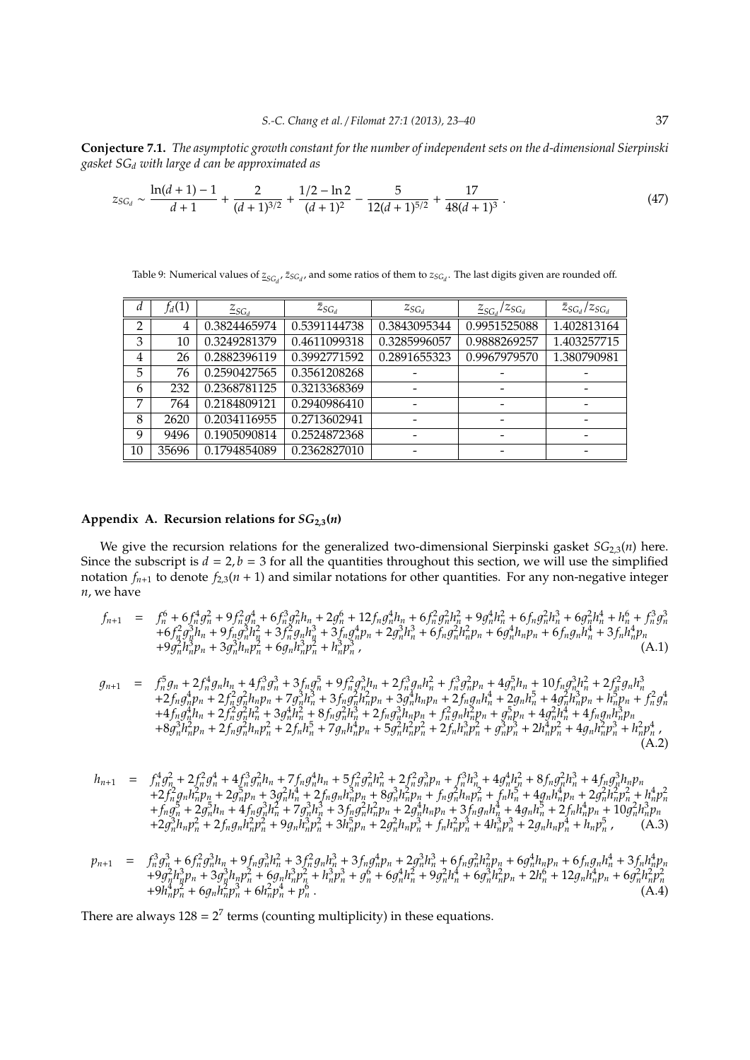**Conjecture 7.1.** *The asymptotic growth constant for the number of independent sets on the d-dimensional Sierpinski gasket SG<sup>d</sup> with large d can be approximated as*

$$
z_{SG_d} \sim \frac{\ln(d+1)-1}{d+1} + \frac{2}{(d+1)^{3/2}} + \frac{1/2-\ln 2}{(d+1)^2} - \frac{5}{12(d+1)^{5/2}} + \frac{17}{48(d+1)^3} \,. \tag{47}
$$

Table 9: Numerical values of  $z_{SG_d}$ ,  $\bar{z}_{SG_d}$ , and some ratios of them to  $z_{SG_d}$ . The last digits given are rounded off.

| d              | $f_d(1)$ | $\mathcal{Z}_{SG_d}$ | $\bar{z}_{SG_d}$ | $Z_{SG_d}$   | $\overline{z_{SG_d}}$<br>$\frac{Z_{SGJ}}{Z_{GJ}}$ | $\bar{z}_{SG_d}/z_{SG_d}$ |
|----------------|----------|----------------------|------------------|--------------|---------------------------------------------------|---------------------------|
| $\overline{2}$ | 4        | 0.3824465974         | 0.5391144738     | 0.3843095344 | 0.9951525088                                      | 1.402813164               |
| 3              | 10       | 0.3249281379         | 0.4611099318     | 0.3285996057 | 0.9888269257                                      | 1.403257715               |
| 4              | 26       | 0.2882396119         | 0.3992771592     | 0.2891655323 | 0.9967979570                                      | 1.380790981               |
| 5              | 76       | 0.2590427565         | 0.3561208268     |              |                                                   |                           |
| 6              | 232      | 0.2368781125         | 0.3213368369     |              |                                                   |                           |
| 7              | 764      | 0.2184809121         | 0.2940986410     |              |                                                   |                           |
| 8              | 2620     | 0.2034116955         | 0.2713602941     |              |                                                   |                           |
| 9              | 9496     | 0.1905090814         | 0.2524872368     |              |                                                   |                           |
| 10             | 35696    | 0.1794854089         | 0.2362827010     |              |                                                   |                           |

# **Appendix A. Recursion relations for** *SG***<sup>2</sup>**,**<sup>3</sup>(***n***)**

We give the recursion relations for the generalized two-dimensional Sierpinski gasket *SG*2,3(*n*) here. Since the subscript is  $d = 2$ ,  $b = 3$  for all the quantities throughout this section, we will use the simplified notation  $f_{n+1}$  to denote  $f_{2,3}(n+1)$  and similar notations for other quantities. For any non-negative integer *n*, we have

$$
f_{n+1} = f_n^6 + 6f_n^4g_n^2 + 9f_n^2g_n^4 + 6f_n^3g_n^2h_n + 2g_n^6 + 12f_ng_n^4h_n + 6f_n^2g_n^2h_n^2 + 9g_n^4h_n^2 + 6f_ng_n^2h_n^3 + 6g_n^2h_n^4 + h_n^6 + f_n^3g_n^3
$$
  
+6f\_n^2g\_n^3h\_n + 9f\_ng\_n^3h\_n^2 + 3f\_n^2g\_nh\_n^3 + 3f\_ng\_n^4p\_n + 2g\_n^3h\_n^3 + 6f\_ng\_n^2h\_n^2p\_n + 6g\_n^4h\_n^2p\_n + 6f\_ng\_nh\_n^4 + 3f\_nh\_n^4p\_n + 9g\_n^2h\_n^3p\_n + 3g\_n^3h\_n^2p\_n^2 + h\_n^3p\_n^3, (A.1)

$$
g_{n+1} = f_n^5 g_n + 2 f_n^4 g_n h_n + 4 f_n^3 g_n^3 + 3 f_n g_n^5 + 9 f_n^2 g_n^3 h_n + 2 f_n^3 g_n h_n^2 + f_n^3 g_n^2 p_n + 4 g_n^5 h_n + 10 f_n g_n^3 h_n^2 + 2 f_n^2 g_n h_n^3 + 2 f_n g_n^4 h_n + 2 f_n^2 g_n^2 h_n p_n + 7 g_n^3 h_n^3 + 3 f_n g_n^2 h_n^2 p_n + 3 g_n^4 h_n p_n + 2 f_n g_n h_n^4 + 2 g_n h_n^5 + 4 g_n^2 h_n^3 p_n + h_n^2 p_n + 4 f_n g_n h_n + 2 f_n^2 g_n^4 h_n^2 + 8 f_n g_n^2 h_n^3 + 2 f_n g_n^3 h_n p_n + f_n^2 g_n h_n^2 p_n + g_n^5 p_n + 4 g_n^2 h_n^4 + 4 f_n g_n h_n^3 p_n + 8 g_n^3 h_n^2 p_n + 2 f_n h_n^5 + 7 g_n h_n^4 p_n + 5 g_n^2 h_n^2 p_n^2 + 2 f_n h_n^3 p_n^2 + 2 f_n h_n^3 p_n^2 + 2 f_n h_n^2 p_n^2 + 2 f_n h_n^2 p_n^2 + 2 f_n h_n^2 p_n^2 + 2 f_n h_n^2 p_n^2 + 2 f_n h_n^2 p_n^2 + 4 g_n h_n^2 p_n^2 + 4 g_n h_n^2 p_n^3 + h_n^2 p_n^4
$$
\n(A.2)

$$
h_{n+1} = f_n^4 g_n^2 + 2 f_n^2 g_n^4 + 4 f_n^3 g_n^2 h_n + 7 f_n g_n^4 h_n + 5 f_n^2 g_n^2 h_n^2 + 2 f_n^2 g_n^3 p_n + f_n^3 h_n^3 + 4 g_n^4 h_n^2 + 8 f_n g_n^2 h_n^3 + 4 f_n g_n^3 h_n p_n + 2 f_n^2 g_n h_n^2 p_n + 2 g_n^5 p_n + 3 g_n^2 h_n^4 + 2 f_n g_n h_n^3 p_n + 8 g_n^3 h_n^2 p_n + f_n g_n^2 h_n p_n^2 + f_n h_n^5 + 4 g_n h_n^4 p_n + 2 g_n^2 h_n^2 p_n^2 + h_n^4 p_n^2 + f_n g_n^5 + 2 g_n^5 h_n + 4 f_n g_n^3 h_n^2 + 7 g_n^3 h_n^3 + 3 f_n g_n^2 h_n^2 p_n + 2 g_n^4 h_n p_n + 3 f_n g_n h_n^4 + 4 g_n h_n^5 + 2 f_n h_n^4 p_n + 10 g_n^2 h_n^3 p_n + 2 g_n^3 h_n p_n^2 + 2 f_n g_n h_n^2 p_n^2 + 9 g_n h_n^3 p_n^2 + 3 h_n^5 p_n + 2 g_n^2 h_n p_n^3 + f_n h_n^2 p_n^3 + 4 h_n^3 p_n^3 + 2 g_n h_n p_n^4 + h_n p_n^5
$$
 (A.3)

$$
p_{n+1} = f_n^3 g_n^3 + 6 f_n^2 g_n^3 h_n + 9 f_n g_n^3 h_n^2 + 3 f_n^2 g_n h_n^3 + 3 f_n g_n^4 p_n + 2 g_n^3 h_n^3 + 6 f_n g_n^2 h_n^2 p_n + 6 f_n g_n h_n^4 + 3 f_n h_n^4 p_n + 9 g_n^2 h_n^3 p_n + 3 g_n^3 h_n p_n^2 + 6 g_n h_n^3 p_n^2 + h_n^3 p_n^3 + g_n^6 + 6 g_n^4 h_n^2 + 9 g_n^2 h_n^4 p_n + 2 h_n^6 + 12 g_n h_n^4 p_n + 6 g_n^2 h_n^2 p_n^2 + 9 h_n^4 p_n^2 + 6 g_n h_n^2 p_n^3 + 6 h_n^2 p_n^4 + p_n^6.
$$
\n(A.4)

There are always  $128 = 2^7$  terms (counting multiplicity) in these equations.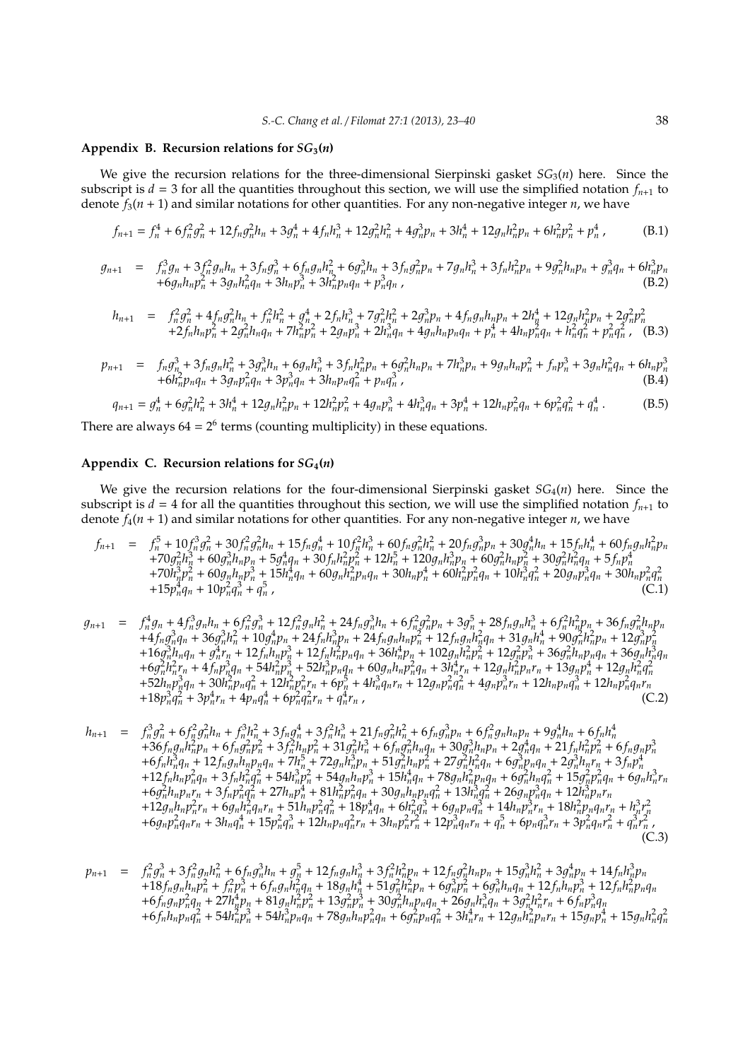# Appendix B. Recursion relations for  $SG_3(n)$

We give the recursion relations for the three-dimensional Sierpinski gasket  $SG_3(n)$  here. Since the subscript is  $d = 3$  for all the quantities throughout this section, we will use the simplified notation  $f_{n+1}$  to denote *f*3(*n* + 1) and similar notations for other quantities. For any non-negative integer *n*, we have

$$
f_{n+1} = f_n^4 + 6f_n^2g_n^2 + 12f_ng_n^2h_n + 3g_n^4 + 4f_nh_n^3 + 12g_n^2h_n^2 + 4g_n^3p_n + 3h_n^4 + 12g_nh_n^2p_n + 6h_n^2p_n^2 + p_n^4
$$
 (B.1)

$$
g_{n+1} = f_n^3 g_n + 3 f_n^2 g_n h_n + 3 f_n g_n^3 + 6 f_n g_n h_n^2 + 6 g_n^3 h_n + 3 f_n g_n^2 p_n + 7 g_n h_n^3 + 3 f_n h_n^2 p_n + 9 g_n^2 h_n p_n + g_n^3 q_n + 6 h_n^3 p_n + 6 g_n h_n p_n^2 + 3 g_n h_n^2 q_n + 3 h_n p_n^3 + 3 h_n^2 p_n q_n + p_n^3 q_n
$$
\n(B.2)

$$
h_{n+1} = f_n^2 g_n^2 + 4 f_n g_n^2 h_n + f_n^2 h_n^2 + g_n^4 + 2 f_n h_n^3 + 7 g_n^2 h_n^2 + 2 g_n^3 p_n + 4 f_n g_n h_n p_n + 2 h_n^4 + 12 g_n h_n^2 p_n + 2 g_n^2 p_n^2 + 2 f_n h_n p_n^2 + 2 g_n^2 h_n q_n + 7 h_n^2 p_n^2 + 2 g_n p_n^3 + 2 h_n^3 q_n + 4 g_n h_n p_n q_n + p_n^4 + 4 h_n p_n^2 q_n + h_n^2 q_n^2 + p_n^2 q_n^2, \quad (B.3)
$$

$$
p_{n+1} = f_n g_n^3 + 3 f_n g_n h_n^2 + 3 g_n^3 h_n + 6 g_n h_n^3 + 3 f_n h_n^2 p_n + 6 g_n^2 h_n p_n + 7 h_n^3 p_n + 9 g_n h_n p_n^2 + f_n p_n^3 + 3 g_n h_n^2 q_n + 6 h_n p_n^3 + 6 h_n^2 p_n q_n + 3 g_n p_n^2 q_n + 3 h_n p_n q_n^2 + p_n q_n^3
$$
\n(B.4)

$$
q_{n+1} = g_n^4 + 6g_n^2h_n^2 + 3h_n^4 + 12g_nh_n^2p_n + 12h_n^2p_n^2 + 4g_n^2p_n^3 + 4h_n^3q_n + 3p_n^4 + 12h_n^2p_n^2q_n + 6p_n^2q_n^2 + q_n^4.
$$
 (B.5)

There are always  $64 = 2^6$  terms (counting multiplicity) in these equations.

# Appendix C. Recursion relations for  $SG_4(n)$

We give the recursion relations for the four-dimensional Sierpinski gasket  $SG_4(n)$  here. Since the subscript is  $d = 4$  for all the quantities throughout this section, we will use the simplified notation  $f_{n+1}$  to denote  $f_4(n + 1)$  and similar notations for other quantities. For any non-negative integer *n*, we have

$$
f_{n+1} = f_n^5 + 10f_n^3g_n^2 + 30f_n^2g_n^2h_n + 15f_ng_n^4 + 10f_n^2h_n^3 + 60f_ng_n^2h_n^2 + 20f_ng_n^3p_n + 30g_n^4h_n + 15f_nh_n^4 + 60f_ng_nh_n^2p_n + 70g_n^2h_n^3 + 60g_n^3h_np_n + 5g_n^4q_n + 30f_nh_n^2p_n^2 + 12h_n^5 + 120g_nh_n^3p_n + 60g_n^2h_np_n^2 + 30g_n^2h_n^2q_n + 5f_np_n^4 + 70h_n^3p_n^2 + 60g_nh_np_n^3 + 15h_n^4q_n + 60g_nh_n^2p_nq_n + 30h_np_n^4 + 60h_n^2p_n^2q_n + 10h_n^3q_n^2 + 20g_np_n^3q_n + 30h_np_n^2q_n^2 + 15p_n^4q_n + 10p_n^2q_n^3 + q_n^5,
$$
\n(C.1)

$$
g_{n+1} = f_n^4 g_n + 4f_n^3 g_n h_n + 6f_n^2 g_n^3 + 12f_n^2 g_n h_n^2 + 24f_n g_n^3 h_n + 6f_n^2 g_n^2 p_n + 3g_n^5 + 28f_n g_n h_n^3 + 6f_n^2 h_n^2 p_n + 36f_n g_n^2 h_n p_n + 4f_n g_n^3 q_n + 36g_n^3 h_n^2 + 10g_n^4 p_n + 24f_n h_n^3 p_n + 24f_n g_n h_n p_n^2 + 12f_n g_n h_n^2 q_n + 31g_n h_n^4 + 90g_n^2 h_n^2 p_n + 12g_n^3 p_n^2 + 16g_n^3 h_n q_n + g_n^4 r_n + 12f_n h_n p_n^3 + 12f_n h_n^2 p_n q_n + 36h_n^4 p_n + 102g_n h_n^2 p_n^2 + 12g_n^2 p_n^3 + 36g_n^2 h_n p_n q_n + 36g_n h_n^3 q_n + 6g_n^2 h_n^2 r_n + 4f_n p_n^3 q_n + 54h_n^2 p_n^3 + 52h_n^3 p_n q_n + 60g_n h_n p_n^2 q_n + 3h_n^4 r_n + 12g_n h_n^2 p_n r_n + 13g_n p_n^4 + 12g_n h_n^2 q_n^2 + 52h_n p_n^3 q_n + 30h_n^2 p_n q_n^2 + 12h_n^2 p_n^2 r_n + 6p_n^5 + 4h_n^3 q_n r_n + 12g_n p_n^2 q_n^2 + 4g_n p_n^3 r_n + 12h_n p_n q_n^3 + 12h_n p_n^2 q_n r_n + 18p_n^3 q_n^2 + 3p_n^4 r_n + 4p_n q_n^4 + 6p_n^2 q_n^2 r_n + q_n^4 r_n, \qquad (C.2)
$$

$$
h_{n+1} = f_n^3 g_n^2 + 6 f_n^2 g_n^2 h_n + f_n^3 h_n^2 + 3 f_n g_n^4 + 3 f_n^2 h_n^3 + 21 f_n g_n^2 h_n^2 + 6 f_n g_n^3 p_n + 6 f_n^2 g_n h_n p_n + 9 g_n^4 h_n + 6 f_n h_n^4
$$
  
+36 f\_n g\_n h\_n^2 p\_n + 6 f\_n g\_n^2 p\_n^2 + 3 f\_n^2 h\_n p\_n^2 + 31 g\_n^2 h\_n^3 + 6 f\_n g\_n^2 h\_n q\_n + 30 g\_n^3 h\_n p\_n + 2 g\_n^4 q\_n + 21 f\_n h\_n^2 p\_n^2 + 6 f\_n g\_n p\_n^3  
+6 f\_n h\_n^3 q\_n + 12 f\_n g\_n h\_n p\_n q\_n + 7 h\_n^5 + 72 g\_n h\_n^3 p\_n + 51 g\_n^2 h\_n p\_n^2 + 27 g\_n^2 h\_n^2 q\_n + 6 g\_n^3 p\_n q\_n + 2 g\_n^3 h\_n r\_n + 3 f\_n p\_n^4  
+12 f\_n h\_n p\_n^2 q\_n + 3 f\_n h\_n^2 q\_n^2 + 54 h\_n^3 p\_n^2 + 54 g\_n h\_n p\_n^3 + 15 h\_n^4 q\_n + 78 g\_n h\_n^2 p\_n q\_n + 6 g\_n^2 h\_n q\_n^2 + 15 g\_n^2 p\_n^2 q\_n + 6 g\_n h\_n^3 r\_n  
+6 g\_n^2 h\_n p\_n r\_n + 3 f\_n p\_n^2 q\_n + 27 h\_n p\_n^4 + 81 h\_n^2 p\_n^2 q\_n + 30 g\_n h\_n p\_n q\_n^2 + 13 h\_n^3 q\_n^2 + 26 g\_n p\_n^3 q\_n + 12 h\_n^3 p\_n r\_n  
+12 g\_n h\_n p\_n^2 r\_n + 6 g\_n h\_n^2 q\_n r\_n + 51 h\_n p\_n^2 q\_n^2 + 18 p\_n^4 q\_n + 6 h\_n^2 q\_n^3 + 6 g\_n p\_n q\_n^3 + 14 h\_n p\_n^3 r\_n + 18 h\_n^2 p\_n q\_n r\_n + h\_n^3 r\_n^2  
+6 g\_n p\_n^2 q\_n r\_n + 3 h\_n q\_n^4 + 15 p\_n^2 q\_n^3 + 12 h\_n p\_n q\_n^2 r\_n + 3 h\_n p\_n^2 r\_n^2 + 12 p\_n^3 q\_n r\_n + q\_n^5 + 6 p\_n q\_n^3 r\_n + 3 p\_n^2 q\_n r\_n^2 + q\_n^3 r\_n^

$$
p_{n+1} = f_n^2 g_n^3 + 3 f_n^2 g_n h_n^2 + 6 f_n g_n^3 h_n + g_n^5 + 12 f_n g_n h_n^3 + 3 f_n^2 h_n^2 p_n + 12 f_n g_n^2 h_n p_n + 15 g_n^3 h_n^2 + 3 g_n^4 p_n + 14 f_n h_n^3 p_n + 18 f_n g_n h_n p_n^2 + f_n^2 p_n^3 + 6 f_n g_n h_n^2 q_n + 18 g_n h_n^4 + 51 g_n^2 h_n^2 p_n + 6 g_n^3 p_n^2 + 6 g_n^3 h_n q_n + 12 f_n h_n p_n^3 + 12 f_n h_n^2 p_n q_n + 6 f_n g_n p_n^2 q_n + 27 h_n^4 p_n + 81 g_n h_n^2 p_n^2 + 13 g_n^2 p_n^3 + 30 g_n^2 h_n p_n q_n + 26 g_n h_n^3 q_n + 3 g_n^2 h_n^2 r_n + 6 f_n p_n^3 q_n + 6 f_n h_n p_n q_n^2 + 54 h_n^2 p_n^3 + 54 h_n^3 p_n q_n + 78 g_n h_n p_n^2 q_n + 6 g_n^2 p_n q_n^2 + 3 h_n^4 r_n + 12 g_n h_n^2 p_n r_n + 15 g_n p_n^4 + 15 g_n h_n^2 q_n^2
$$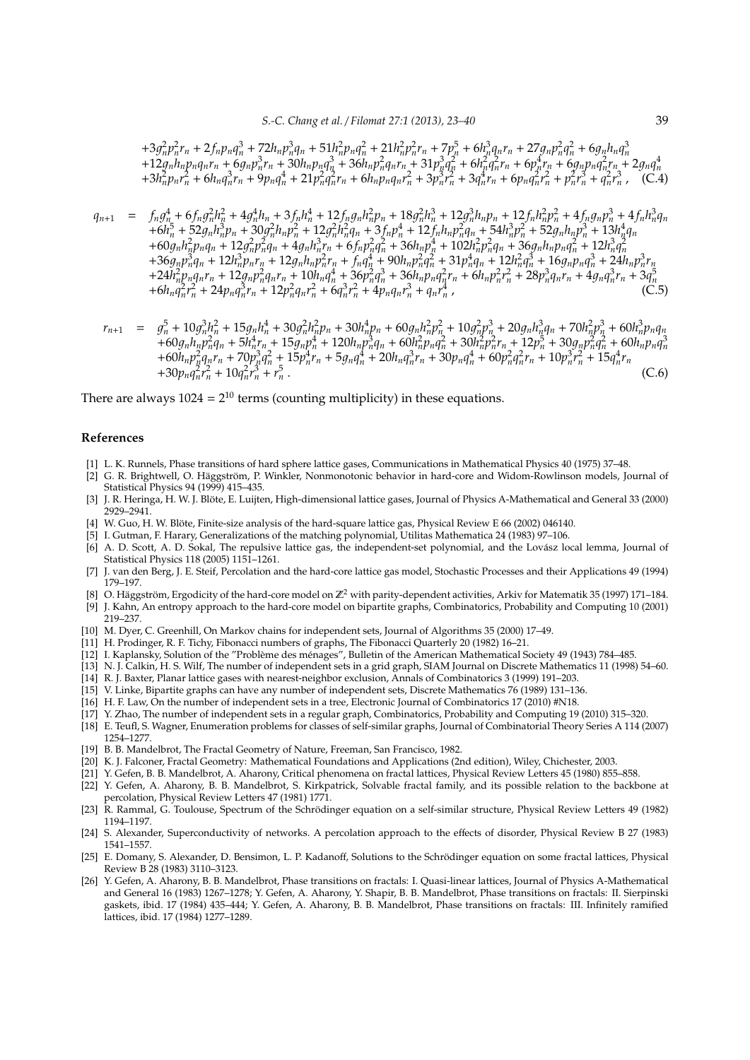$+3g_n^2p_n^2r_n+2f_np_nq_n^3+72h_np_n^3q_n+51h_n^2p_nq_n^2+21h_n^2p_n^2r_n+7p_n^5+6h_n^3q_nr_n+27g_np_n^2q_n^2+6g_nh_nq_n^3$ <br>+12 $g_nh_np_nq_nr_n+6g_np_n^3r_n+30h_np_nq_n^3+36h_np_n^2q_nr_n+31p_n^3q_n^2+6h_n^2q_n^2r_n+6p_n^4r_n+6g_np_nq_n^2r_n+2g_nq_n^4$ <br>+3 $h_n^2p_nr_n^2+6h_nq_n^3r_n+9p_nq_n^4+2$ 

$$
q_{n+1} = f_n g_n^4 + 6 f_n g_n^2 h_n^2 + 4 g_n^4 h_n + 3 f_n h_n^4 + 12 f_n g_n h_n^2 p_n + 18 g_n^2 h_n^3 + 12 g_n^3 h_n p_n + 12 f_n h_n^2 p_n^2 + 4 f_n g_n p_n^3 + 4 f_n h_n^3 q_n + 6 h_n^5 + 52 g_n h_n^3 p_n + 30 g_n^2 h_n p_n^2 + 12 g_n^2 h_n^2 q_n + 3 f_n p_n^4 + 12 f_n h_n p_n^2 q_n + 54 h_n^3 p_n^2 + 52 g_n h_n p_n^3 + 13 h_n^4 q_n + 60 g_n h_n^2 p_n q_n + 12 g_n^2 p_n^2 q_n + 4 g_n h_n^3 r_n + 6 f_n p_n^2 q_n^2 + 36 h_n p_n^4 + 102 h_n^2 p_n^2 q_n + 36 g_n h_n p_n q_n^2 + 12 h_n^3 q_n^2 + 36 g_n p_n^3 q_n + 12 h_n^3 p_n r_n + 12 g_n h_n p_n^2 r_n + f_n q_n^4 + 90 h_n p_n^2 q_n^2 + 31 p_n^4 q_n + 12 h_n^2 q_n^3 + 16 g_n p_n q_n^3 + 24 h_n^2 p_n q_n r_n + 12 g_n p_n^2 q_n r_n + 10 h_n q_n^4 + 36 p_n^2 q_n^3 + 36 h_n p_n q_n^2 r_n + 6 h_n p_n^2 r_n^2 + 28 p_n^3 q_n r_n + 4 g_n q_n^3 r_n + 6 h_n q_n^2 r_n^2 + 24 p_n q_n^3 r_n + 12 p_n^2 q_n r_n^2 + 6 q_n^3 r_n^2 + 4 p_n q_n r_n^3 + q_n r_n^4,
$$
\n(C.5)

$$
r_{n+1} = g_n^5 + 10g_n^3h_n^2 + 15g_nh_n^4 + 30g_n^2h_n^2p_n + 30h_n^4p_n + 60g_nh_n^2p_n^2 + 10g_n^2p_n^3 + 20g_nh_n^3q_n + 70h_n^2p_n^3 + 60h_n^3p_nq_n + 60g_nh_n^2p_n^2q_n + 5h_n^4r_n + 15g_n^4p_n^4 + 120h_n^3q_n^3 + 60h_n^2p_n^2q_n^2 + 30h_n^2p_n^2r_n + 12p_n^5 + 30g_n^2p_n^2q_n^2 + 60h_n^2p_nq_n^2 + 15p_n^4r_n + 5g_nq_n^4 + 20h_n^3r_n + 30p_nq_n^4 + 60p_n^2q_n^2r_n + 10p_n^3r_n^2 + 15q_n^4r_n + 30p_nq_n^2r_n^2 + 10q_n^2r_n^2 + 10q_n^2r_n^3 + r_n^5.
$$
\n(C.6)

There are always  $1024 = 2^{10}$  terms (counting multiplicity) in these equations.

#### **References**

- [1] L. K. Runnels, Phase transitions of hard sphere lattice gases, Communications in Mathematical Physics 40 (1975) 37–48.
- [2] G. R. Brightwell, O. Häggström, P. Winkler, Nonmonotonic behavior in hard-core and Widom-Rowlinson models, Journal of Statistical Physics 94 (1999) 415–435.
- [3] J. R. Heringa, H. W. J. Blöte, E. Luijten, High-dimensional lattice gases, Journal of Physics A-Mathematical and General 33 (2000) 2929–2941.
- [4] W. Guo, H. W. Blöte, Finite-size analysis of the hard-square lattice gas, Physical Review E 66 (2002) 046140.
- [5] I. Gutman, F. Harary, Generalizations of the matching polynomial, Utilitas Mathematica 24 (1983) 97–106.
- [6] A. D. Scott, A. D. Sokal, The repulsive lattice gas, the independent-set polynomial, and the Lovász local lemma, Journal of Statistical Physics 118 (2005) 1151–1261.
- [7] J. van den Berg, J. E. Steif, Percolation and the hard-core lattice gas model, Stochastic Processes and their Applications 49 (1994) 179–197.
- [8] O. Häggström, Ergodicity of the hard-core model on  $\mathbb{Z}^2$  with parity-dependent activities, Arkiv for Matematik 35 (1997) 171-184.
- [9] J. Kahn, An entropy approach to the hard-core model on bipartite graphs, Combinatorics, Probability and Computing 10 (2001) 219–237.
- [10] M. Dyer, C. Greenhill, On Markov chains for independent sets, Journal of Algorithms 35 (2000) 17–49.
- [11] H. Prodinger, R. F. Tichy, Fibonacci numbers of graphs, The Fibonacci Quarterly 20 (1982) 16–21.
- [12] I. Kaplansky, Solution of the "Problème des ménages", Bulletin of the American Mathematical Society 49 (1943) 784–485.
- [13] N. J. Calkin, H. S. Wilf, The number of independent sets in a grid graph, SIAM Journal on Discrete Mathematics 11 (1998) 54–60.
- [14] R. J. Baxter, Planar lattice gases with nearest-neighbor exclusion, Annals of Combinatorics 3 (1999) 191–203.
- [15] V. Linke, Bipartite graphs can have any number of independent sets, Discrete Mathematics 76 (1989) 131–136.
- [16] H. F. Law, On the number of independent sets in a tree, Electronic Journal of Combinatorics 17 (2010) #N18.
- [17] Y. Zhao, The number of independent sets in a regular graph, Combinatorics, Probability and Computing 19 (2010) 315–320.
- [18] E. Teufl, S. Wagner, Enumeration problems for classes of self-similar graphs, Journal of Combinatorial Theory Series A 114 (2007) 1254–1277.
- [19] B. B. Mandelbrot, The Fractal Geometry of Nature, Freeman, San Francisco, 1982.
- [20] K. J. Falconer, Fractal Geometry: Mathematical Foundations and Applications (2nd edition), Wiley, Chichester, 2003.
- [21] Y. Gefen, B. B. Mandelbrot, A. Aharony, Critical phenomena on fractal lattices, Physical Review Letters 45 (1980) 855–858.
- [22] Y. Gefen, A. Aharony, B. B. Mandelbrot, S. Kirkpatrick, Solvable fractal family, and its possible relation to the backbone at percolation, Physical Review Letters 47 (1981) 1771.
- [23] R. Rammal, G. Toulouse, Spectrum of the Schrödinger equation on a self-similar structure, Physical Review Letters 49 (1982) 1194–1197.
- [24] S. Alexander, Superconductivity of networks. A percolation approach to the effects of disorder, Physical Review B 27 (1983) 1541–1557.
- [25] E. Domany, S. Alexander, D. Bensimon, L. P. Kadanoff, Solutions to the Schrodinger equation on some fractal lattices, Physical ¨ Review B 28 (1983) 3110–3123.
- [26] Y. Gefen, A. Aharony, B. B. Mandelbrot, Phase transitions on fractals: I. Quasi-linear lattices, Journal of Physics A-Mathematical and General 16 (1983) 1267–1278; Y. Gefen, A. Aharony, Y. Shapir, B. B. Mandelbrot, Phase transitions on fractals: II. Sierpinski gaskets, ibid. 17 (1984) 435–444; Y. Gefen, A. Aharony, B. B. Mandelbrot, Phase transitions on fractals: III. Infinitely ramified lattices, ibid. 17 (1984) 1277–1289.